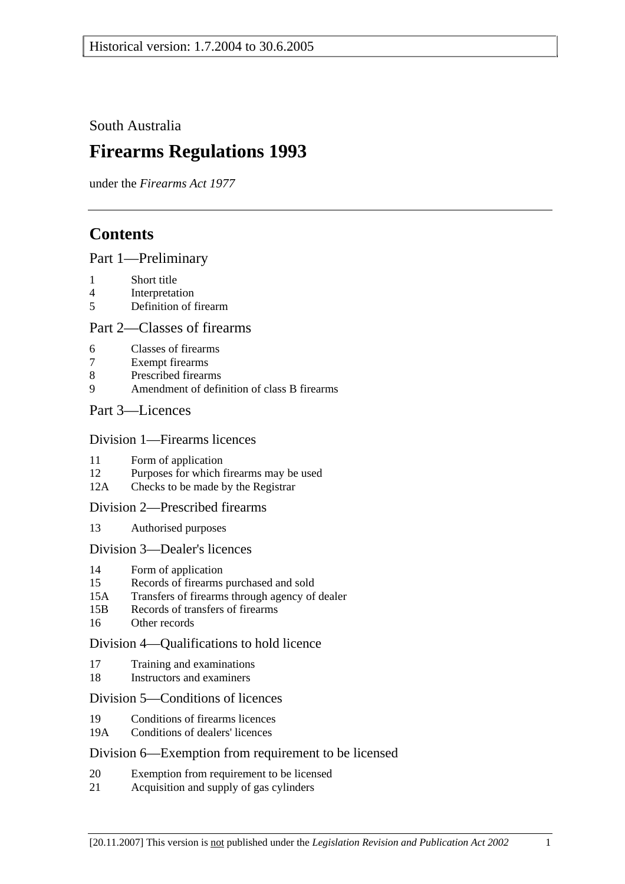South Australia

# **Firearms Regulations 1993**

under the *Firearms Act 1977*

# **Contents**

## Part 1—Preliminary

- 1 Short title
- 4 Interpretation
- 5 Definition of firearm

### Part 2—Classes of firearms

- 6 Classes of firearms
- 7 Exempt firearms
- 8 Prescribed firearms
- 9 Amendment of definition of class B firearms

## Part 3—Licences

#### Division 1—Firearms licences

- 11 Form of application
- 12 Purposes for which firearms may be used
- 12A Checks to be made by the Registrar

### Division 2—Prescribed firearms

13 Authorised purposes

### Division 3—Dealer's licences

- 14 Form of application
- 15 Records of firearms purchased and sold
- 15A Transfers of firearms through agency of dealer
- 15B Records of transfers of firearms
- 16 Other records

## Division 4—Qualifications to hold licence

- 17 Training and examinations
- 18 Instructors and examiners

## Division 5—Conditions of licences

- 19 Conditions of firearms licences
- 19A Conditions of dealers' licences

### Division 6—Exemption from requirement to be licensed

- 20 Exemption from requirement to be licensed
- 21 Acquisition and supply of gas cylinders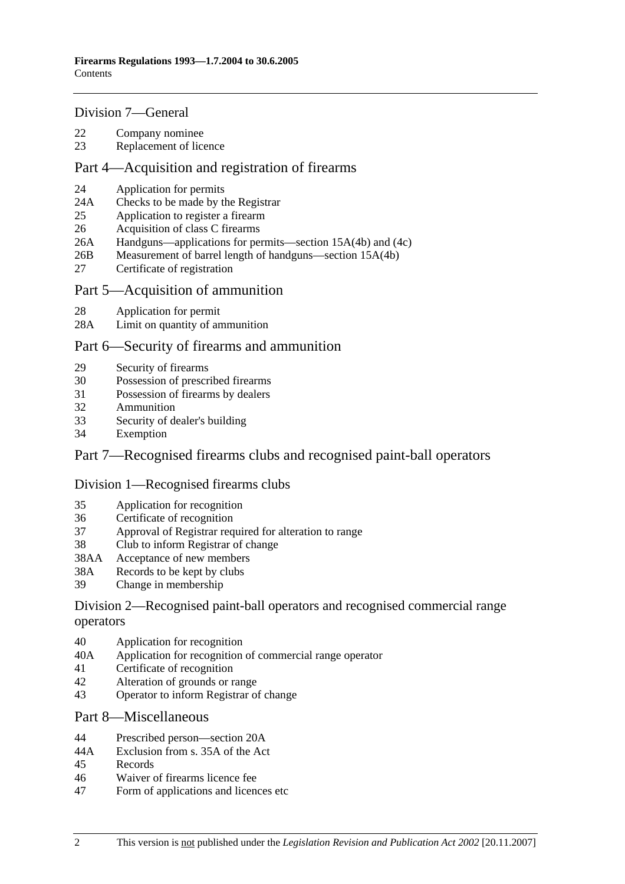#### Division 7—General

- 22 Company nominee
- 23 Replacement of licence

#### Part 4—Acquisition and registration of firearms

- 24 Application for permits
- 24A Checks to be made by the Registrar
- 25 Application to register a firearm
- 26 Acquisition of class C firearms
- 26A Handguns—applications for permits—section 15A(4b) and (4c)
- 26B Measurement of barrel length of handguns—section 15A(4b)
- 27 Certificate of registration

#### Part 5—Acquisition of ammunition

- 28 Application for permit
- 28A Limit on quantity of ammunition

#### Part 6—Security of firearms and ammunition

- 29 Security of firearms
- 30 Possession of prescribed firearms
- 31 Possession of firearms by dealers
- 32 Ammunition
- 33 Security of dealer's building
- 34 Exemption

### Part 7—Recognised firearms clubs and recognised paint-ball operators

#### Division 1—Recognised firearms clubs

- 35 Application for recognition
- 36 Certificate of recognition
- 37 Approval of Registrar required for alteration to range
- 38 Club to inform Registrar of change
- 38AA Acceptance of new members
- 38A Records to be kept by clubs
- 39 Change in membership

#### Division 2—Recognised paint-ball operators and recognised commercial range operators

- 40 Application for recognition
- 40A Application for recognition of commercial range operator
- 41 Certificate of recognition
- 42 Alteration of grounds or range
- 43 Operator to inform Registrar of change

#### Part 8—Miscellaneous

- 44 Prescribed person—section 20A
- 44A Exclusion from s. 35A of the Act
- 45 Records
- 46 Waiver of firearms licence fee
- 47 Form of applications and licences etc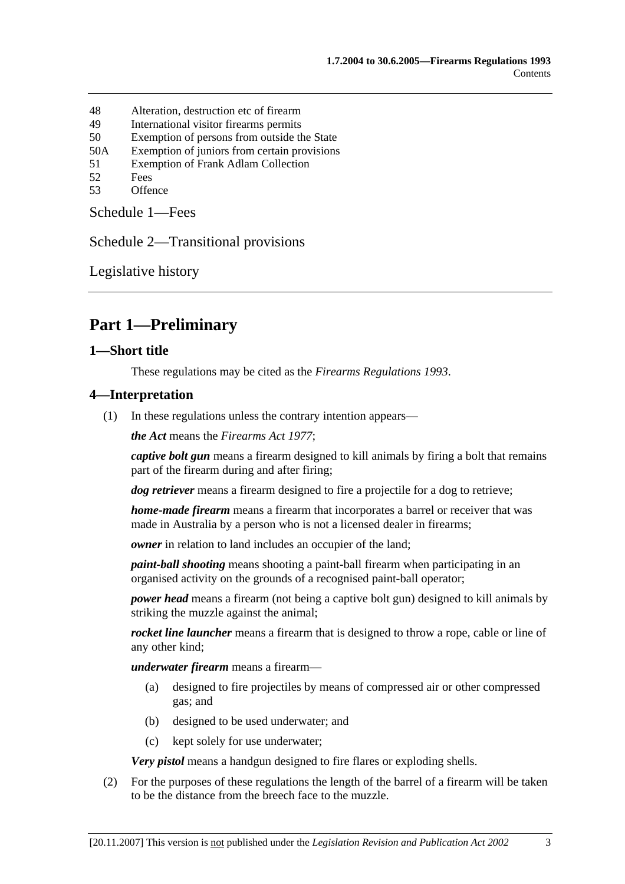- 48 Alteration, destruction etc of firearm
- 49 International visitor firearms permits
- 50 Exemption of persons from outside the State
- 50A Exemption of juniors from certain provisions
- 51 Exemption of Frank Adlam Collection
- 52 Fees
- 53 Offence

Schedule 1—Fees

Schedule 2—Transitional provisions

Legislative history

# **Part 1—Preliminary**

#### **1—Short title**

These regulations may be cited as the *Firearms Regulations 1993*.

#### **4—Interpretation**

(1) In these regulations unless the contrary intention appears—

*the Act* means the *Firearms Act 1977*;

*captive bolt gun* means a firearm designed to kill animals by firing a bolt that remains part of the firearm during and after firing;

*dog retriever* means a firearm designed to fire a projectile for a dog to retrieve;

*home-made firearm* means a firearm that incorporates a barrel or receiver that was made in Australia by a person who is not a licensed dealer in firearms;

*owner* in relation to land includes an occupier of the land;

*paint-ball shooting* means shooting a paint-ball firearm when participating in an organised activity on the grounds of a recognised paint-ball operator;

*power head* means a firearm (not being a captive bolt gun) designed to kill animals by striking the muzzle against the animal;

*rocket line launcher* means a firearm that is designed to throw a rope, cable or line of any other kind;

*underwater firearm* means a firearm—

- (a) designed to fire projectiles by means of compressed air or other compressed gas; and
- (b) designed to be used underwater; and
- (c) kept solely for use underwater;

*Very pistol* means a handgun designed to fire flares or exploding shells.

 (2) For the purposes of these regulations the length of the barrel of a firearm will be taken to be the distance from the breech face to the muzzle.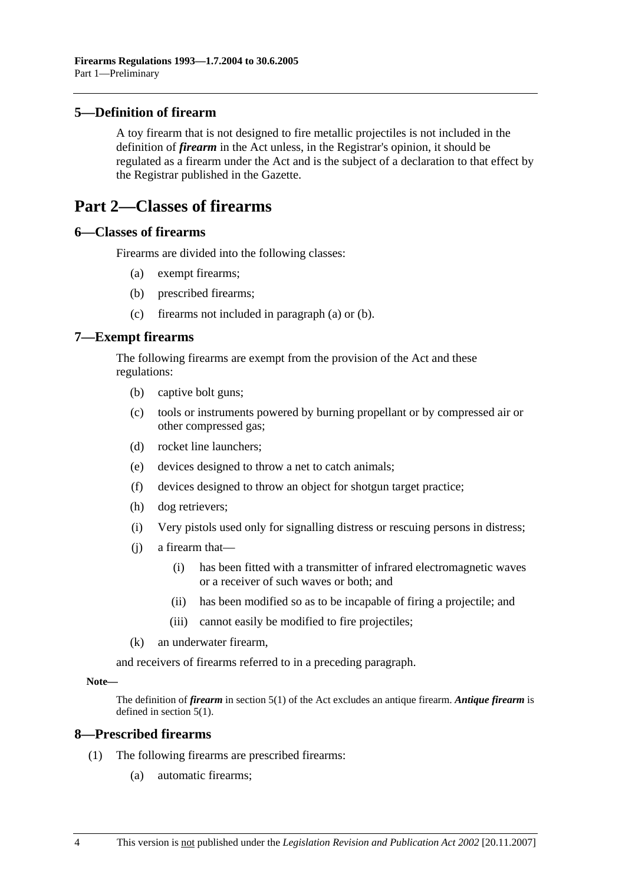### **5—Definition of firearm**

A toy firearm that is not designed to fire metallic projectiles is not included in the definition of *firearm* in the Act unless, in the Registrar's opinion, it should be regulated as a firearm under the Act and is the subject of a declaration to that effect by the Registrar published in the Gazette.

## **Part 2—Classes of firearms**

#### **6—Classes of firearms**

Firearms are divided into the following classes:

- (a) exempt firearms;
- (b) prescribed firearms;
- (c) firearms not included in paragraph (a) or (b).

#### **7—Exempt firearms**

The following firearms are exempt from the provision of the Act and these regulations:

- (b) captive bolt guns;
- (c) tools or instruments powered by burning propellant or by compressed air or other compressed gas;
- (d) rocket line launchers;
- (e) devices designed to throw a net to catch animals;
- (f) devices designed to throw an object for shotgun target practice;
- (h) dog retrievers;
- (i) Very pistols used only for signalling distress or rescuing persons in distress;
- (j) a firearm that—
	- (i) has been fitted with a transmitter of infrared electromagnetic waves or a receiver of such waves or both; and
	- (ii) has been modified so as to be incapable of firing a projectile; and
	- (iii) cannot easily be modified to fire projectiles;
- (k) an underwater firearm,

and receivers of firearms referred to in a preceding paragraph.

#### **Note—**

The definition of *firearm* in section 5(1) of the Act excludes an antique firearm. *Antique firearm* is defined in section 5(1).

#### **8—Prescribed firearms**

- (1) The following firearms are prescribed firearms:
	- (a) automatic firearms;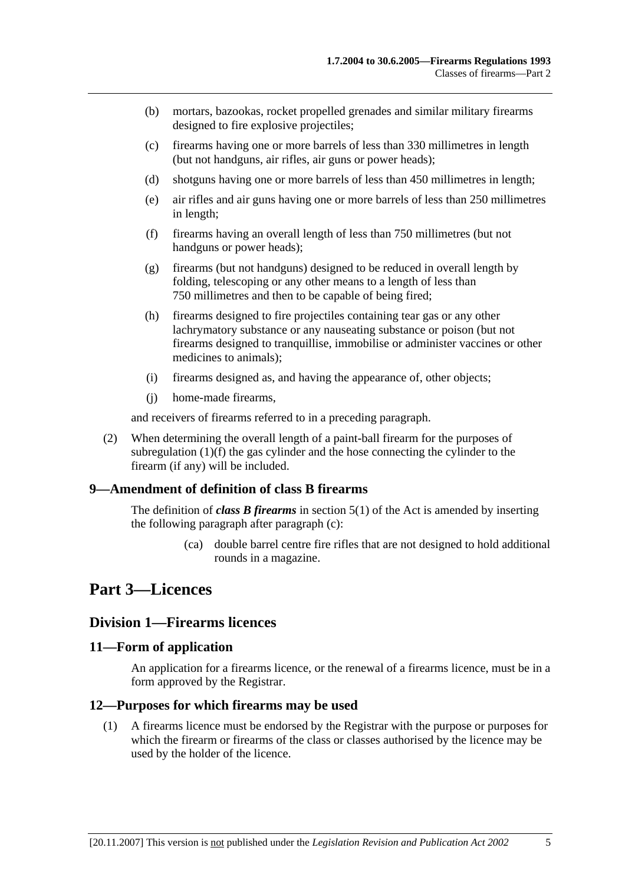- (b) mortars, bazookas, rocket propelled grenades and similar military firearms designed to fire explosive projectiles;
- (c) firearms having one or more barrels of less than 330 millimetres in length (but not handguns, air rifles, air guns or power heads);
- (d) shotguns having one or more barrels of less than 450 millimetres in length;
- (e) air rifles and air guns having one or more barrels of less than 250 millimetres in length;
- (f) firearms having an overall length of less than 750 millimetres (but not handguns or power heads);
- (g) firearms (but not handguns) designed to be reduced in overall length by folding, telescoping or any other means to a length of less than 750 millimetres and then to be capable of being fired;
- (h) firearms designed to fire projectiles containing tear gas or any other lachrymatory substance or any nauseating substance or poison (but not firearms designed to tranquillise, immobilise or administer vaccines or other medicines to animals);
- (i) firearms designed as, and having the appearance of, other objects;
- (j) home-made firearms,

and receivers of firearms referred to in a preceding paragraph.

 (2) When determining the overall length of a paint-ball firearm for the purposes of subregulation (1)(f) the gas cylinder and the hose connecting the cylinder to the firearm (if any) will be included.

### **9—Amendment of definition of class B firearms**

The definition of *class B firearms* in section 5(1) of the Act is amended by inserting the following paragraph after paragraph (c):

> (ca) double barrel centre fire rifles that are not designed to hold additional rounds in a magazine.

## **Part 3—Licences**

#### **Division 1—Firearms licences**

#### **11—Form of application**

An application for a firearms licence, or the renewal of a firearms licence, must be in a form approved by the Registrar.

#### **12—Purposes for which firearms may be used**

 (1) A firearms licence must be endorsed by the Registrar with the purpose or purposes for which the firearm or firearms of the class or classes authorised by the licence may be used by the holder of the licence.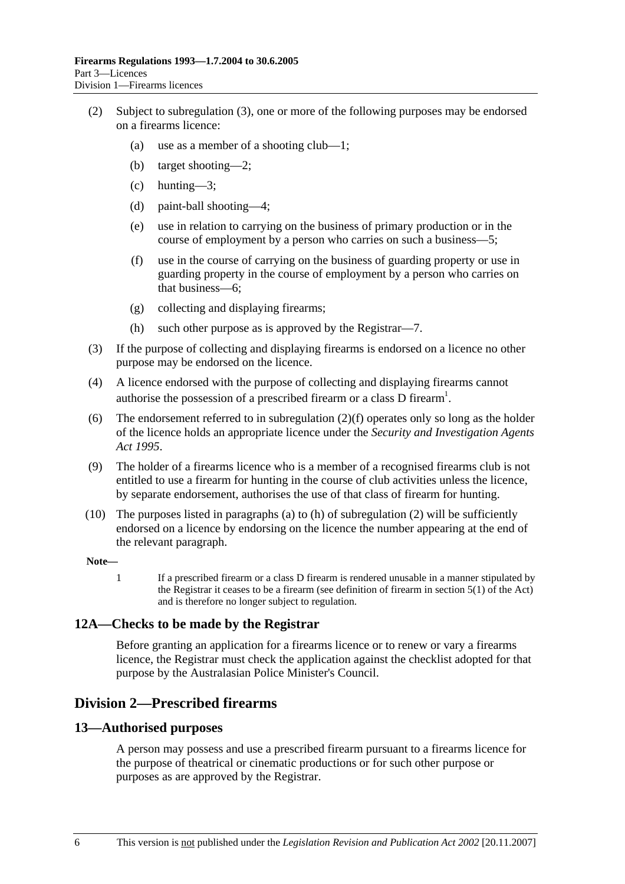- (2) Subject to subregulation (3), one or more of the following purposes may be endorsed on a firearms licence:
	- (a) use as a member of a shooting club—1;
	- (b) target shooting—2;
	- (c) hunting—3;
	- (d) paint-ball shooting—4;
	- (e) use in relation to carrying on the business of primary production or in the course of employment by a person who carries on such a business—5;
	- (f) use in the course of carrying on the business of guarding property or use in guarding property in the course of employment by a person who carries on that business—6;
	- (g) collecting and displaying firearms;
	- (h) such other purpose as is approved by the Registrar—7.
- (3) If the purpose of collecting and displaying firearms is endorsed on a licence no other purpose may be endorsed on the licence.
- (4) A licence endorsed with the purpose of collecting and displaying firearms cannot authorise the possession of a prescribed firearm or a class D firearm<sup>1</sup>.
- (6) The endorsement referred to in subregulation (2)(f) operates only so long as the holder of the licence holds an appropriate licence under the *Security and Investigation Agents Act 1995*.
- (9) The holder of a firearms licence who is a member of a recognised firearms club is not entitled to use a firearm for hunting in the course of club activities unless the licence, by separate endorsement, authorises the use of that class of firearm for hunting.
- (10) The purposes listed in paragraphs (a) to (h) of subregulation (2) will be sufficiently endorsed on a licence by endorsing on the licence the number appearing at the end of the relevant paragraph.

#### **Note—**

1 If a prescribed firearm or a class D firearm is rendered unusable in a manner stipulated by the Registrar it ceases to be a firearm (see definition of firearm in section 5(1) of the Act) and is therefore no longer subject to regulation.

#### **12A—Checks to be made by the Registrar**

Before granting an application for a firearms licence or to renew or vary a firearms licence, the Registrar must check the application against the checklist adopted for that purpose by the Australasian Police Minister's Council.

## **Division 2—Prescribed firearms**

#### **13—Authorised purposes**

A person may possess and use a prescribed firearm pursuant to a firearms licence for the purpose of theatrical or cinematic productions or for such other purpose or purposes as are approved by the Registrar.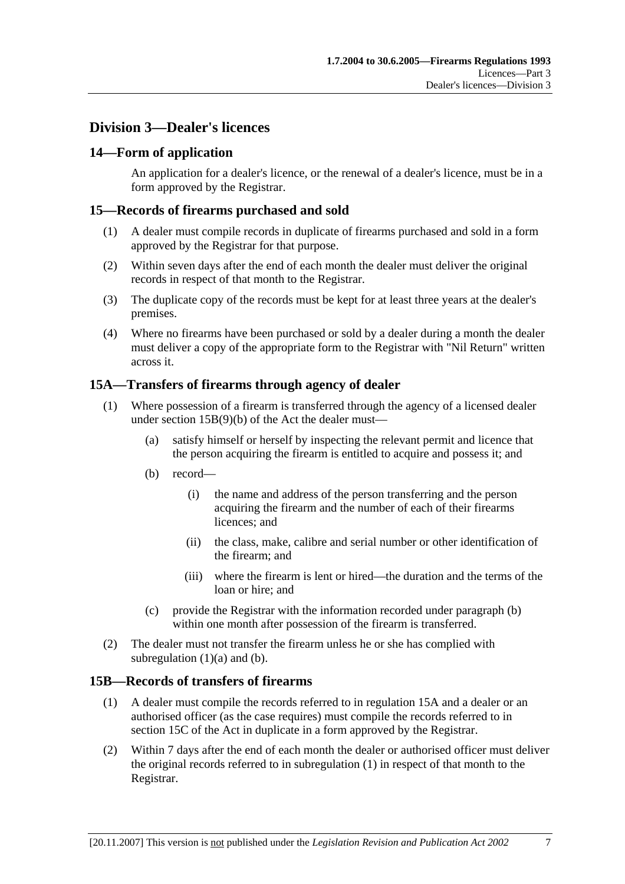## **Division 3—Dealer's licences**

### **14—Form of application**

An application for a dealer's licence, or the renewal of a dealer's licence, must be in a form approved by the Registrar.

### **15—Records of firearms purchased and sold**

- (1) A dealer must compile records in duplicate of firearms purchased and sold in a form approved by the Registrar for that purpose.
- (2) Within seven days after the end of each month the dealer must deliver the original records in respect of that month to the Registrar.
- (3) The duplicate copy of the records must be kept for at least three years at the dealer's premises.
- (4) Where no firearms have been purchased or sold by a dealer during a month the dealer must deliver a copy of the appropriate form to the Registrar with "Nil Return" written across it.

## **15A—Transfers of firearms through agency of dealer**

- (1) Where possession of a firearm is transferred through the agency of a licensed dealer under section 15B(9)(b) of the Act the dealer must—
	- (a) satisfy himself or herself by inspecting the relevant permit and licence that the person acquiring the firearm is entitled to acquire and possess it; and
	- (b) record—
		- (i) the name and address of the person transferring and the person acquiring the firearm and the number of each of their firearms licences; and
		- (ii) the class, make, calibre and serial number or other identification of the firearm; and
		- (iii) where the firearm is lent or hired—the duration and the terms of the loan or hire; and
	- (c) provide the Registrar with the information recorded under paragraph (b) within one month after possession of the firearm is transferred.
- (2) The dealer must not transfer the firearm unless he or she has complied with subregulation  $(1)(a)$  and  $(b)$ .

### **15B—Records of transfers of firearms**

- (1) A dealer must compile the records referred to in regulation 15A and a dealer or an authorised officer (as the case requires) must compile the records referred to in section 15C of the Act in duplicate in a form approved by the Registrar.
- (2) Within 7 days after the end of each month the dealer or authorised officer must deliver the original records referred to in subregulation (1) in respect of that month to the Registrar.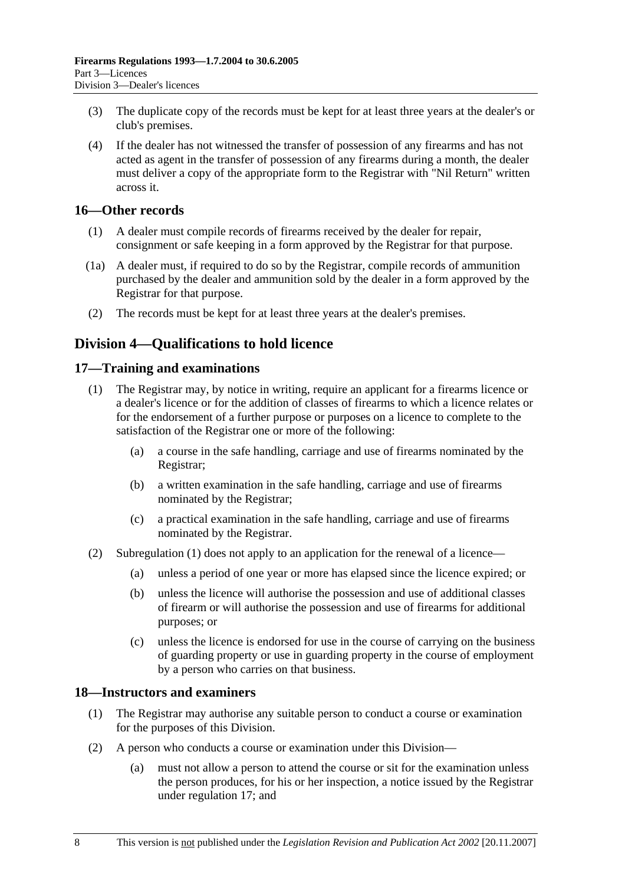- (3) The duplicate copy of the records must be kept for at least three years at the dealer's or club's premises.
- (4) If the dealer has not witnessed the transfer of possession of any firearms and has not acted as agent in the transfer of possession of any firearms during a month, the dealer must deliver a copy of the appropriate form to the Registrar with "Nil Return" written across it.

### **16—Other records**

- (1) A dealer must compile records of firearms received by the dealer for repair, consignment or safe keeping in a form approved by the Registrar for that purpose.
- (1a) A dealer must, if required to do so by the Registrar, compile records of ammunition purchased by the dealer and ammunition sold by the dealer in a form approved by the Registrar for that purpose.
- (2) The records must be kept for at least three years at the dealer's premises.

## **Division 4—Qualifications to hold licence**

#### **17—Training and examinations**

- (1) The Registrar may, by notice in writing, require an applicant for a firearms licence or a dealer's licence or for the addition of classes of firearms to which a licence relates or for the endorsement of a further purpose or purposes on a licence to complete to the satisfaction of the Registrar one or more of the following:
	- (a) a course in the safe handling, carriage and use of firearms nominated by the Registrar;
	- (b) a written examination in the safe handling, carriage and use of firearms nominated by the Registrar;
	- (c) a practical examination in the safe handling, carriage and use of firearms nominated by the Registrar.
- (2) Subregulation (1) does not apply to an application for the renewal of a licence—
	- (a) unless a period of one year or more has elapsed since the licence expired; or
	- (b) unless the licence will authorise the possession and use of additional classes of firearm or will authorise the possession and use of firearms for additional purposes; or
	- (c) unless the licence is endorsed for use in the course of carrying on the business of guarding property or use in guarding property in the course of employment by a person who carries on that business.

### **18—Instructors and examiners**

- (1) The Registrar may authorise any suitable person to conduct a course or examination for the purposes of this Division.
- (2) A person who conducts a course or examination under this Division—
	- (a) must not allow a person to attend the course or sit for the examination unless the person produces, for his or her inspection, a notice issued by the Registrar under regulation 17; and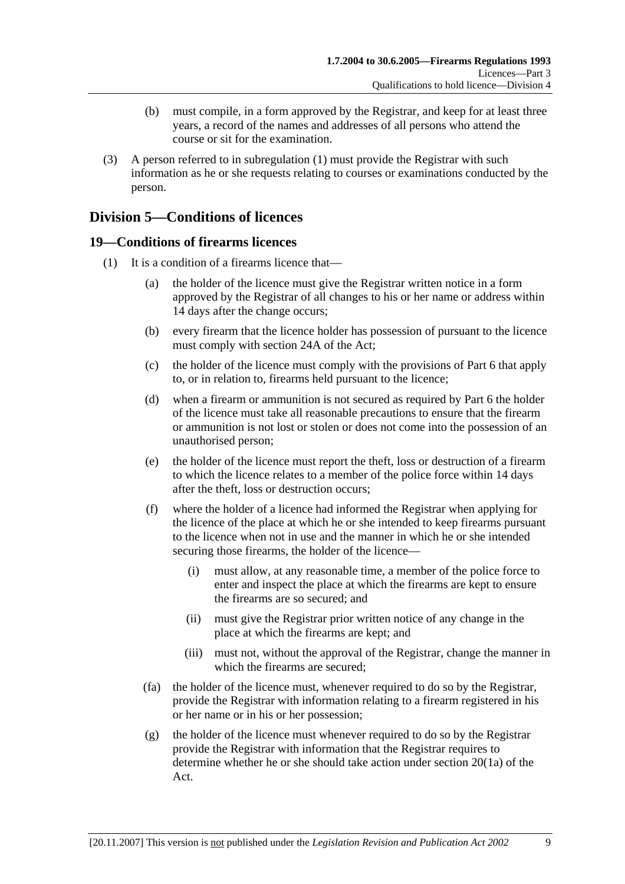- (b) must compile, in a form approved by the Registrar, and keep for at least three years, a record of the names and addresses of all persons who attend the course or sit for the examination.
- (3) A person referred to in subregulation (1) must provide the Registrar with such information as he or she requests relating to courses or examinations conducted by the person.

## **Division 5—Conditions of licences**

## **19—Conditions of firearms licences**

- (1) It is a condition of a firearms licence that—
	- (a) the holder of the licence must give the Registrar written notice in a form approved by the Registrar of all changes to his or her name or address within 14 days after the change occurs;
	- (b) every firearm that the licence holder has possession of pursuant to the licence must comply with section 24A of the Act;
	- (c) the holder of the licence must comply with the provisions of Part 6 that apply to, or in relation to, firearms held pursuant to the licence;
	- (d) when a firearm or ammunition is not secured as required by Part 6 the holder of the licence must take all reasonable precautions to ensure that the firearm or ammunition is not lost or stolen or does not come into the possession of an unauthorised person;
	- (e) the holder of the licence must report the theft, loss or destruction of a firearm to which the licence relates to a member of the police force within 14 days after the theft, loss or destruction occurs;
	- (f) where the holder of a licence had informed the Registrar when applying for the licence of the place at which he or she intended to keep firearms pursuant to the licence when not in use and the manner in which he or she intended securing those firearms, the holder of the licence—
		- (i) must allow, at any reasonable time, a member of the police force to enter and inspect the place at which the firearms are kept to ensure the firearms are so secured; and
		- (ii) must give the Registrar prior written notice of any change in the place at which the firearms are kept; and
		- (iii) must not, without the approval of the Registrar, change the manner in which the firearms are secured;
	- (fa) the holder of the licence must, whenever required to do so by the Registrar, provide the Registrar with information relating to a firearm registered in his or her name or in his or her possession;
	- (g) the holder of the licence must whenever required to do so by the Registrar provide the Registrar with information that the Registrar requires to determine whether he or she should take action under section 20(1a) of the Act.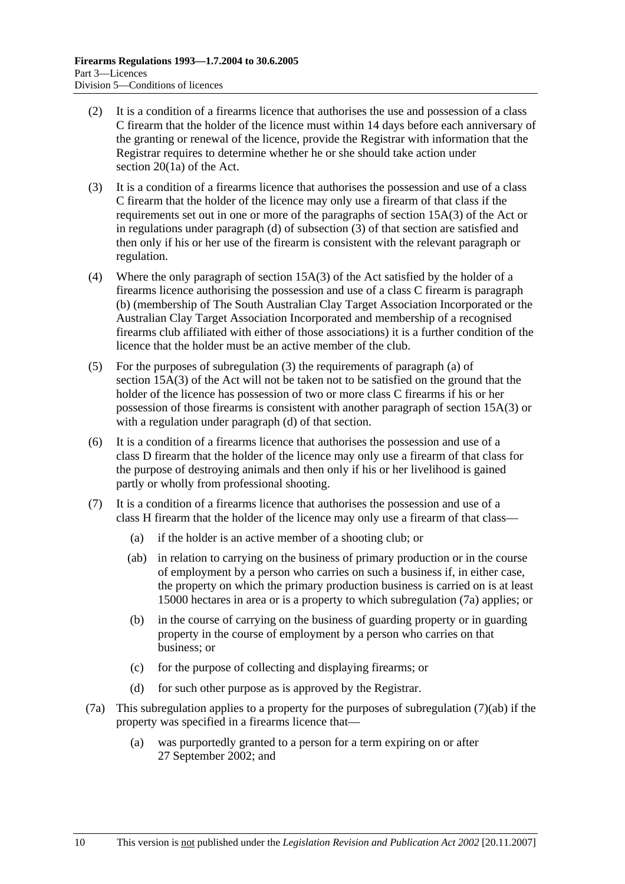- (2) It is a condition of a firearms licence that authorises the use and possession of a class C firearm that the holder of the licence must within 14 days before each anniversary of the granting or renewal of the licence, provide the Registrar with information that the Registrar requires to determine whether he or she should take action under section 20(1a) of the Act.
- (3) It is a condition of a firearms licence that authorises the possession and use of a class C firearm that the holder of the licence may only use a firearm of that class if the requirements set out in one or more of the paragraphs of section 15A(3) of the Act or in regulations under paragraph (d) of subsection (3) of that section are satisfied and then only if his or her use of the firearm is consistent with the relevant paragraph or regulation.
- (4) Where the only paragraph of section 15A(3) of the Act satisfied by the holder of a firearms licence authorising the possession and use of a class C firearm is paragraph (b) (membership of The South Australian Clay Target Association Incorporated or the Australian Clay Target Association Incorporated and membership of a recognised firearms club affiliated with either of those associations) it is a further condition of the licence that the holder must be an active member of the club.
- (5) For the purposes of subregulation (3) the requirements of paragraph (a) of section 15A(3) of the Act will not be taken not to be satisfied on the ground that the holder of the licence has possession of two or more class C firearms if his or her possession of those firearms is consistent with another paragraph of section 15A(3) or with a regulation under paragraph (d) of that section.
- (6) It is a condition of a firearms licence that authorises the possession and use of a class D firearm that the holder of the licence may only use a firearm of that class for the purpose of destroying animals and then only if his or her livelihood is gained partly or wholly from professional shooting.
- (7) It is a condition of a firearms licence that authorises the possession and use of a class H firearm that the holder of the licence may only use a firearm of that class—
	- (a) if the holder is an active member of a shooting club; or
	- (ab) in relation to carrying on the business of primary production or in the course of employment by a person who carries on such a business if, in either case, the property on which the primary production business is carried on is at least 15000 hectares in area or is a property to which subregulation (7a) applies; or
	- (b) in the course of carrying on the business of guarding property or in guarding property in the course of employment by a person who carries on that business; or
	- (c) for the purpose of collecting and displaying firearms; or
	- (d) for such other purpose as is approved by the Registrar.
- (7a) This subregulation applies to a property for the purposes of subregulation (7)(ab) if the property was specified in a firearms licence that—
	- (a) was purportedly granted to a person for a term expiring on or after 27 September 2002; and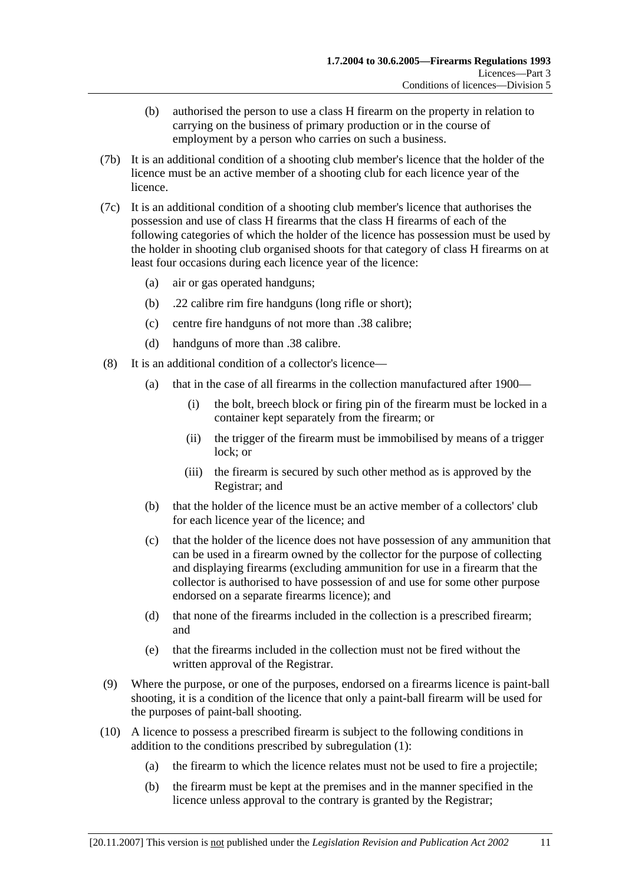- (b) authorised the person to use a class H firearm on the property in relation to carrying on the business of primary production or in the course of employment by a person who carries on such a business.
- (7b) It is an additional condition of a shooting club member's licence that the holder of the licence must be an active member of a shooting club for each licence year of the licence.
- (7c) It is an additional condition of a shooting club member's licence that authorises the possession and use of class H firearms that the class H firearms of each of the following categories of which the holder of the licence has possession must be used by the holder in shooting club organised shoots for that category of class H firearms on at least four occasions during each licence year of the licence:
	- (a) air or gas operated handguns;
	- (b) .22 calibre rim fire handguns (long rifle or short);
	- (c) centre fire handguns of not more than .38 calibre;
	- (d) handguns of more than .38 calibre.
- (8) It is an additional condition of a collector's licence—
	- (a) that in the case of all firearms in the collection manufactured after 1900—
		- (i) the bolt, breech block or firing pin of the firearm must be locked in a container kept separately from the firearm; or
		- (ii) the trigger of the firearm must be immobilised by means of a trigger lock; or
		- (iii) the firearm is secured by such other method as is approved by the Registrar; and
	- (b) that the holder of the licence must be an active member of a collectors' club for each licence year of the licence; and
	- (c) that the holder of the licence does not have possession of any ammunition that can be used in a firearm owned by the collector for the purpose of collecting and displaying firearms (excluding ammunition for use in a firearm that the collector is authorised to have possession of and use for some other purpose endorsed on a separate firearms licence); and
	- (d) that none of the firearms included in the collection is a prescribed firearm; and
	- (e) that the firearms included in the collection must not be fired without the written approval of the Registrar.
- (9) Where the purpose, or one of the purposes, endorsed on a firearms licence is paint-ball shooting, it is a condition of the licence that only a paint-ball firearm will be used for the purposes of paint-ball shooting.
- (10) A licence to possess a prescribed firearm is subject to the following conditions in addition to the conditions prescribed by subregulation (1):
	- (a) the firearm to which the licence relates must not be used to fire a projectile;
	- (b) the firearm must be kept at the premises and in the manner specified in the licence unless approval to the contrary is granted by the Registrar;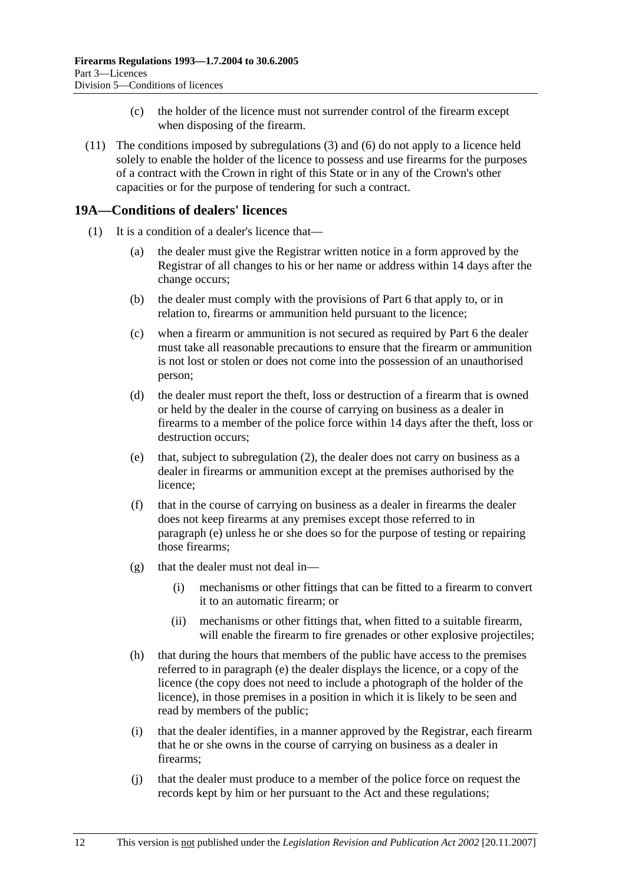- (c) the holder of the licence must not surrender control of the firearm except when disposing of the firearm.
- (11) The conditions imposed by subregulations (3) and (6) do not apply to a licence held solely to enable the holder of the licence to possess and use firearms for the purposes of a contract with the Crown in right of this State or in any of the Crown's other capacities or for the purpose of tendering for such a contract.

## **19A—Conditions of dealers' licences**

- (1) It is a condition of a dealer's licence that—
	- (a) the dealer must give the Registrar written notice in a form approved by the Registrar of all changes to his or her name or address within 14 days after the change occurs;
	- (b) the dealer must comply with the provisions of Part 6 that apply to, or in relation to, firearms or ammunition held pursuant to the licence;
	- (c) when a firearm or ammunition is not secured as required by Part 6 the dealer must take all reasonable precautions to ensure that the firearm or ammunition is not lost or stolen or does not come into the possession of an unauthorised person;
	- (d) the dealer must report the theft, loss or destruction of a firearm that is owned or held by the dealer in the course of carrying on business as a dealer in firearms to a member of the police force within 14 days after the theft, loss or destruction occurs;
	- (e) that, subject to subregulation (2), the dealer does not carry on business as a dealer in firearms or ammunition except at the premises authorised by the licence;
	- (f) that in the course of carrying on business as a dealer in firearms the dealer does not keep firearms at any premises except those referred to in paragraph (e) unless he or she does so for the purpose of testing or repairing those firearms;
	- (g) that the dealer must not deal in—
		- (i) mechanisms or other fittings that can be fitted to a firearm to convert it to an automatic firearm; or
		- (ii) mechanisms or other fittings that, when fitted to a suitable firearm, will enable the firearm to fire grenades or other explosive projectiles;
	- (h) that during the hours that members of the public have access to the premises referred to in paragraph (e) the dealer displays the licence, or a copy of the licence (the copy does not need to include a photograph of the holder of the licence), in those premises in a position in which it is likely to be seen and read by members of the public;
	- (i) that the dealer identifies, in a manner approved by the Registrar, each firearm that he or she owns in the course of carrying on business as a dealer in firearms;
	- (j) that the dealer must produce to a member of the police force on request the records kept by him or her pursuant to the Act and these regulations;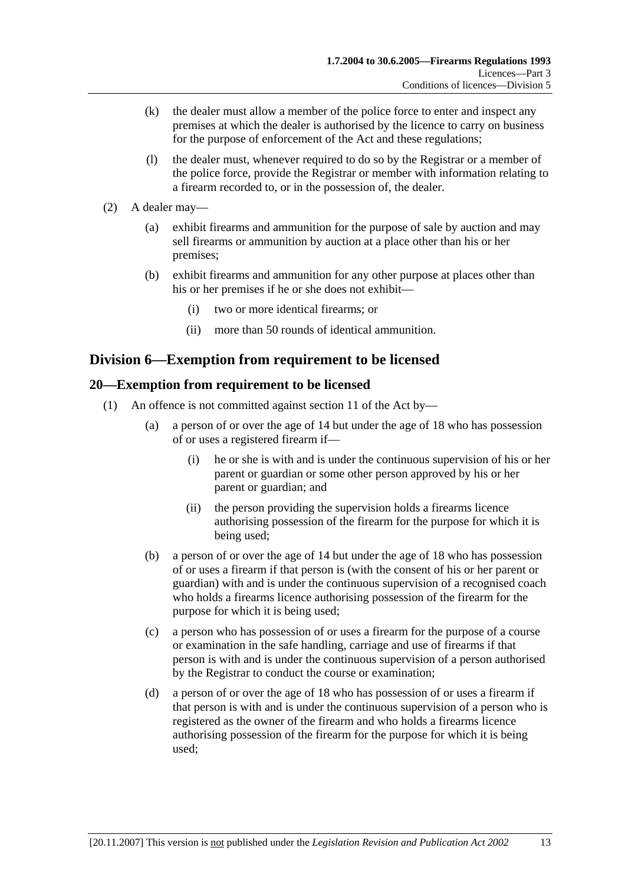- (k) the dealer must allow a member of the police force to enter and inspect any premises at which the dealer is authorised by the licence to carry on business for the purpose of enforcement of the Act and these regulations;
- (l) the dealer must, whenever required to do so by the Registrar or a member of the police force, provide the Registrar or member with information relating to a firearm recorded to, or in the possession of, the dealer.
- (2) A dealer may—
	- (a) exhibit firearms and ammunition for the purpose of sale by auction and may sell firearms or ammunition by auction at a place other than his or her premises;
	- (b) exhibit firearms and ammunition for any other purpose at places other than his or her premises if he or she does not exhibit—
		- (i) two or more identical firearms; or
		- (ii) more than 50 rounds of identical ammunition.

## **Division 6—Exemption from requirement to be licensed**

## **20—Exemption from requirement to be licensed**

- (1) An offence is not committed against section 11 of the Act by—
	- (a) a person of or over the age of 14 but under the age of 18 who has possession of or uses a registered firearm if—
		- (i) he or she is with and is under the continuous supervision of his or her parent or guardian or some other person approved by his or her parent or guardian; and
		- (ii) the person providing the supervision holds a firearms licence authorising possession of the firearm for the purpose for which it is being used;
	- (b) a person of or over the age of 14 but under the age of 18 who has possession of or uses a firearm if that person is (with the consent of his or her parent or guardian) with and is under the continuous supervision of a recognised coach who holds a firearms licence authorising possession of the firearm for the purpose for which it is being used;
	- (c) a person who has possession of or uses a firearm for the purpose of a course or examination in the safe handling, carriage and use of firearms if that person is with and is under the continuous supervision of a person authorised by the Registrar to conduct the course or examination;
	- (d) a person of or over the age of 18 who has possession of or uses a firearm if that person is with and is under the continuous supervision of a person who is registered as the owner of the firearm and who holds a firearms licence authorising possession of the firearm for the purpose for which it is being used;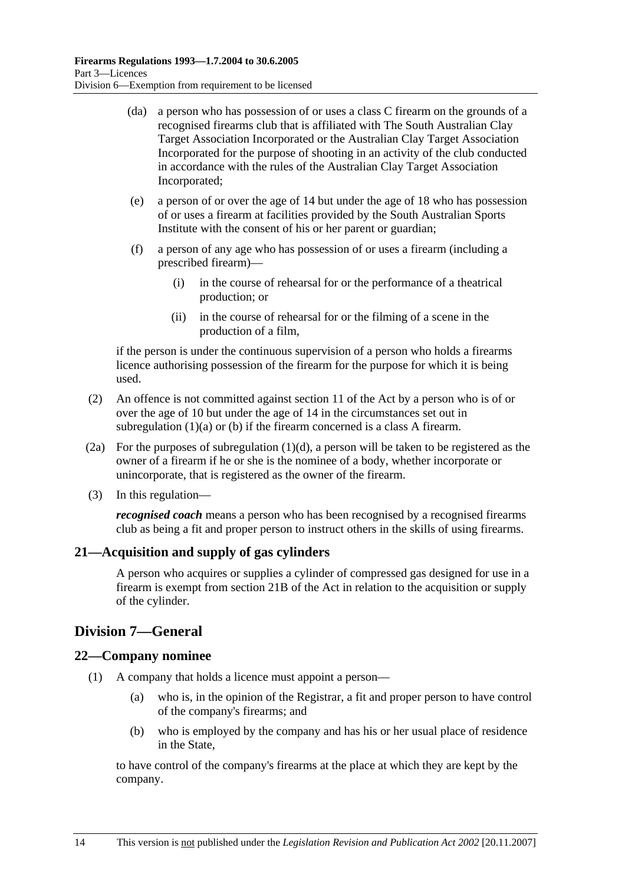- (da) a person who has possession of or uses a class C firearm on the grounds of a recognised firearms club that is affiliated with The South Australian Clay Target Association Incorporated or the Australian Clay Target Association Incorporated for the purpose of shooting in an activity of the club conducted in accordance with the rules of the Australian Clay Target Association Incorporated;
- (e) a person of or over the age of 14 but under the age of 18 who has possession of or uses a firearm at facilities provided by the South Australian Sports Institute with the consent of his or her parent or guardian;
- (f) a person of any age who has possession of or uses a firearm (including a prescribed firearm)—
	- (i) in the course of rehearsal for or the performance of a theatrical production; or
	- (ii) in the course of rehearsal for or the filming of a scene in the production of a film,

if the person is under the continuous supervision of a person who holds a firearms licence authorising possession of the firearm for the purpose for which it is being used.

- (2) An offence is not committed against section 11 of the Act by a person who is of or over the age of 10 but under the age of 14 in the circumstances set out in subregulation (1)(a) or (b) if the firearm concerned is a class A firearm.
- (2a) For the purposes of subregulation (1)(d), a person will be taken to be registered as the owner of a firearm if he or she is the nominee of a body, whether incorporate or unincorporate, that is registered as the owner of the firearm.
- (3) In this regulation—

*recognised coach* means a person who has been recognised by a recognised firearms club as being a fit and proper person to instruct others in the skills of using firearms.

## **21—Acquisition and supply of gas cylinders**

A person who acquires or supplies a cylinder of compressed gas designed for use in a firearm is exempt from section 21B of the Act in relation to the acquisition or supply of the cylinder.

## **Division 7—General**

### **22—Company nominee**

- (1) A company that holds a licence must appoint a person—
	- (a) who is, in the opinion of the Registrar, a fit and proper person to have control of the company's firearms; and
	- (b) who is employed by the company and has his or her usual place of residence in the State,

to have control of the company's firearms at the place at which they are kept by the company.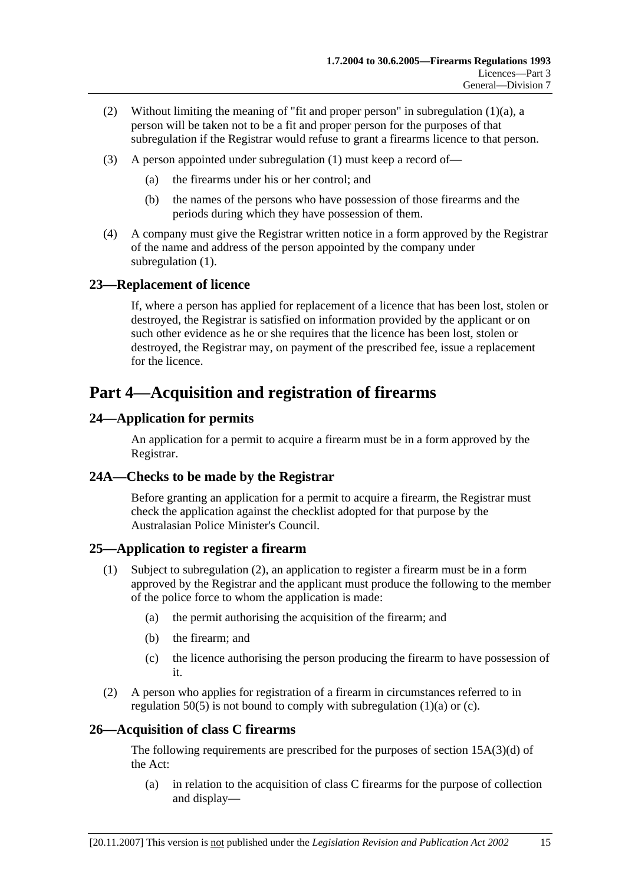- (2) Without limiting the meaning of "fit and proper person" in subregulation (1)(a), a person will be taken not to be a fit and proper person for the purposes of that subregulation if the Registrar would refuse to grant a firearms licence to that person.
- (3) A person appointed under subregulation (1) must keep a record of—
	- (a) the firearms under his or her control; and
	- (b) the names of the persons who have possession of those firearms and the periods during which they have possession of them.
- (4) A company must give the Registrar written notice in a form approved by the Registrar of the name and address of the person appointed by the company under subregulation (1).

## **23—Replacement of licence**

If, where a person has applied for replacement of a licence that has been lost, stolen or destroyed, the Registrar is satisfied on information provided by the applicant or on such other evidence as he or she requires that the licence has been lost, stolen or destroyed, the Registrar may, on payment of the prescribed fee, issue a replacement for the licence.

## **Part 4—Acquisition and registration of firearms**

## **24—Application for permits**

An application for a permit to acquire a firearm must be in a form approved by the Registrar.

### **24A—Checks to be made by the Registrar**

Before granting an application for a permit to acquire a firearm, the Registrar must check the application against the checklist adopted for that purpose by the Australasian Police Minister's Council.

### **25—Application to register a firearm**

- (1) Subject to subregulation (2), an application to register a firearm must be in a form approved by the Registrar and the applicant must produce the following to the member of the police force to whom the application is made:
	- (a) the permit authorising the acquisition of the firearm; and
	- (b) the firearm; and
	- (c) the licence authorising the person producing the firearm to have possession of it.
- (2) A person who applies for registration of a firearm in circumstances referred to in regulation  $50(5)$  is not bound to comply with subregulation (1)(a) or (c).

### **26—Acquisition of class C firearms**

The following requirements are prescribed for the purposes of section 15A(3)(d) of the Act:

 (a) in relation to the acquisition of class C firearms for the purpose of collection and display—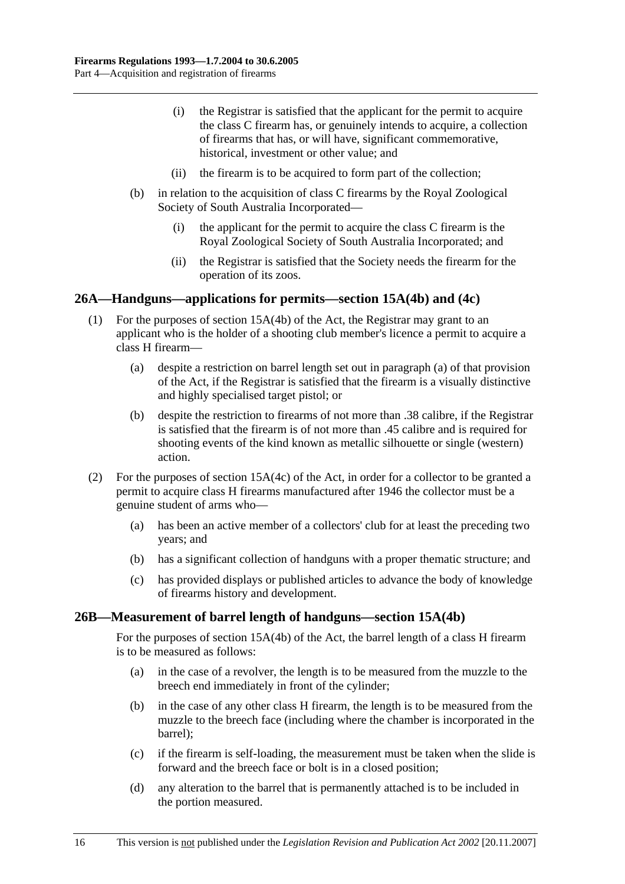- (i) the Registrar is satisfied that the applicant for the permit to acquire the class C firearm has, or genuinely intends to acquire, a collection of firearms that has, or will have, significant commemorative, historical, investment or other value; and
- (ii) the firearm is to be acquired to form part of the collection;
- (b) in relation to the acquisition of class C firearms by the Royal Zoological Society of South Australia Incorporated—
	- (i) the applicant for the permit to acquire the class C firearm is the Royal Zoological Society of South Australia Incorporated; and
	- (ii) the Registrar is satisfied that the Society needs the firearm for the operation of its zoos.

#### **26A—Handguns—applications for permits—section 15A(4b) and (4c)**

- (1) For the purposes of section 15A(4b) of the Act, the Registrar may grant to an applicant who is the holder of a shooting club member's licence a permit to acquire a class H firearm—
	- (a) despite a restriction on barrel length set out in paragraph (a) of that provision of the Act, if the Registrar is satisfied that the firearm is a visually distinctive and highly specialised target pistol; or
	- (b) despite the restriction to firearms of not more than .38 calibre, if the Registrar is satisfied that the firearm is of not more than .45 calibre and is required for shooting events of the kind known as metallic silhouette or single (western) action.
- (2) For the purposes of section 15A(4c) of the Act, in order for a collector to be granted a permit to acquire class H firearms manufactured after 1946 the collector must be a genuine student of arms who—
	- (a) has been an active member of a collectors' club for at least the preceding two years; and
	- (b) has a significant collection of handguns with a proper thematic structure; and
	- (c) has provided displays or published articles to advance the body of knowledge of firearms history and development.

#### **26B—Measurement of barrel length of handguns—section 15A(4b)**

For the purposes of section 15A(4b) of the Act, the barrel length of a class H firearm is to be measured as follows:

- (a) in the case of a revolver, the length is to be measured from the muzzle to the breech end immediately in front of the cylinder;
- (b) in the case of any other class H firearm, the length is to be measured from the muzzle to the breech face (including where the chamber is incorporated in the barrel);
- (c) if the firearm is self-loading, the measurement must be taken when the slide is forward and the breech face or bolt is in a closed position;
- (d) any alteration to the barrel that is permanently attached is to be included in the portion measured.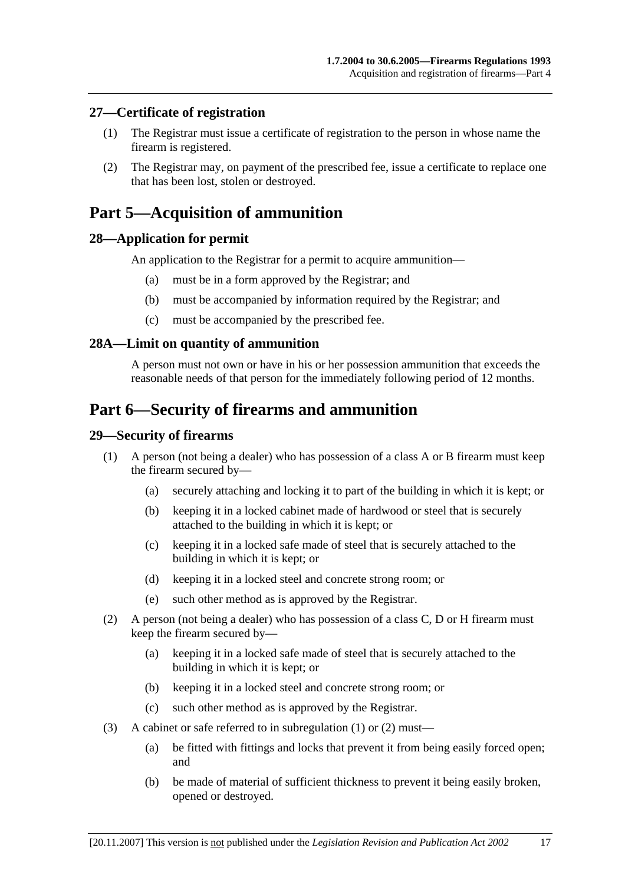### **27—Certificate of registration**

- (1) The Registrar must issue a certificate of registration to the person in whose name the firearm is registered.
- (2) The Registrar may, on payment of the prescribed fee, issue a certificate to replace one that has been lost, stolen or destroyed.

## **Part 5—Acquisition of ammunition**

#### **28—Application for permit**

An application to the Registrar for a permit to acquire ammunition—

- (a) must be in a form approved by the Registrar; and
- (b) must be accompanied by information required by the Registrar; and
- (c) must be accompanied by the prescribed fee.

#### **28A—Limit on quantity of ammunition**

A person must not own or have in his or her possession ammunition that exceeds the reasonable needs of that person for the immediately following period of 12 months.

## **Part 6—Security of firearms and ammunition**

#### **29—Security of firearms**

- (1) A person (not being a dealer) who has possession of a class A or B firearm must keep the firearm secured by—
	- (a) securely attaching and locking it to part of the building in which it is kept; or
	- (b) keeping it in a locked cabinet made of hardwood or steel that is securely attached to the building in which it is kept; or
	- (c) keeping it in a locked safe made of steel that is securely attached to the building in which it is kept; or
	- (d) keeping it in a locked steel and concrete strong room; or
	- (e) such other method as is approved by the Registrar.
- (2) A person (not being a dealer) who has possession of a class C, D or H firearm must keep the firearm secured by—
	- (a) keeping it in a locked safe made of steel that is securely attached to the building in which it is kept; or
	- (b) keeping it in a locked steel and concrete strong room; or
	- (c) such other method as is approved by the Registrar.
- (3) A cabinet or safe referred to in subregulation (1) or (2) must—
	- (a) be fitted with fittings and locks that prevent it from being easily forced open; and
	- (b) be made of material of sufficient thickness to prevent it being easily broken, opened or destroyed.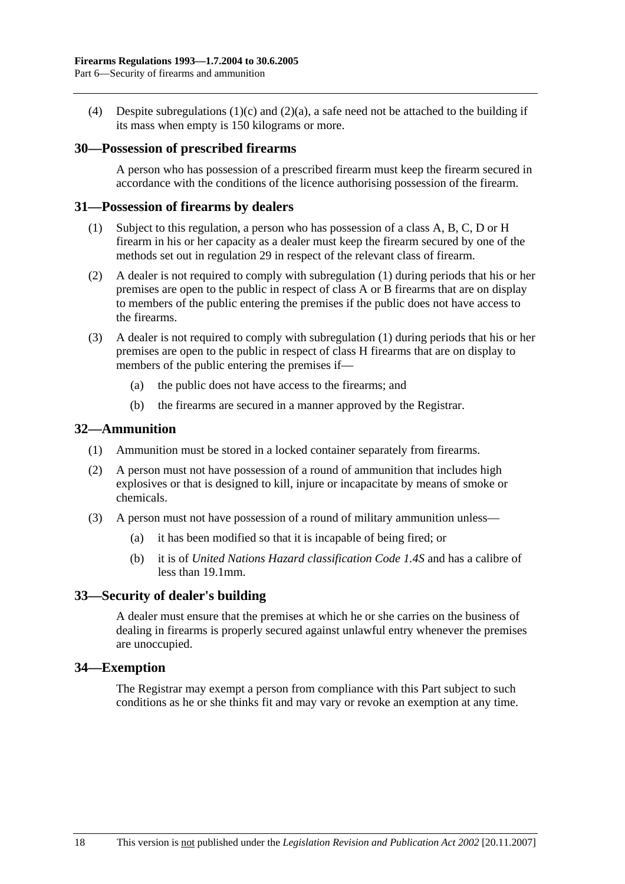(4) Despite subregulations (1)(c) and (2)(a), a safe need not be attached to the building if its mass when empty is 150 kilograms or more.

#### **30—Possession of prescribed firearms**

A person who has possession of a prescribed firearm must keep the firearm secured in accordance with the conditions of the licence authorising possession of the firearm.

#### **31—Possession of firearms by dealers**

- (1) Subject to this regulation, a person who has possession of a class A, B, C, D or H firearm in his or her capacity as a dealer must keep the firearm secured by one of the methods set out in regulation 29 in respect of the relevant class of firearm.
- (2) A dealer is not required to comply with subregulation (1) during periods that his or her premises are open to the public in respect of class A or B firearms that are on display to members of the public entering the premises if the public does not have access to the firearms.
- (3) A dealer is not required to comply with subregulation (1) during periods that his or her premises are open to the public in respect of class H firearms that are on display to members of the public entering the premises if—
	- (a) the public does not have access to the firearms; and
	- (b) the firearms are secured in a manner approved by the Registrar.

#### **32—Ammunition**

- (1) Ammunition must be stored in a locked container separately from firearms.
- (2) A person must not have possession of a round of ammunition that includes high explosives or that is designed to kill, injure or incapacitate by means of smoke or chemicals.
- (3) A person must not have possession of a round of military ammunition unless—
	- (a) it has been modified so that it is incapable of being fired; or
	- (b) it is of *United Nations Hazard classification Code 1.4S* and has a calibre of less than 19.1mm.

#### **33—Security of dealer's building**

A dealer must ensure that the premises at which he or she carries on the business of dealing in firearms is properly secured against unlawful entry whenever the premises are unoccupied.

#### **34—Exemption**

The Registrar may exempt a person from compliance with this Part subject to such conditions as he or she thinks fit and may vary or revoke an exemption at any time.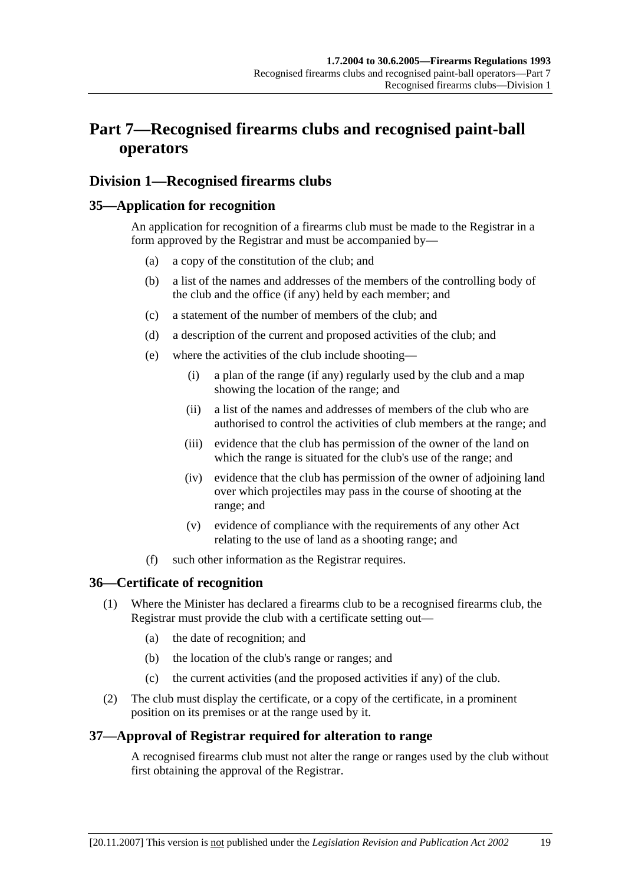# **Part 7—Recognised firearms clubs and recognised paint-ball operators**

## **Division 1—Recognised firearms clubs**

## **35—Application for recognition**

An application for recognition of a firearms club must be made to the Registrar in a form approved by the Registrar and must be accompanied by—

- (a) a copy of the constitution of the club; and
- (b) a list of the names and addresses of the members of the controlling body of the club and the office (if any) held by each member; and
- (c) a statement of the number of members of the club; and
- (d) a description of the current and proposed activities of the club; and
- (e) where the activities of the club include shooting—
	- (i) a plan of the range (if any) regularly used by the club and a map showing the location of the range; and
	- (ii) a list of the names and addresses of members of the club who are authorised to control the activities of club members at the range; and
	- (iii) evidence that the club has permission of the owner of the land on which the range is situated for the club's use of the range; and
	- (iv) evidence that the club has permission of the owner of adjoining land over which projectiles may pass in the course of shooting at the range; and
	- (v) evidence of compliance with the requirements of any other Act relating to the use of land as a shooting range; and
- (f) such other information as the Registrar requires.

### **36—Certificate of recognition**

- (1) Where the Minister has declared a firearms club to be a recognised firearms club, the Registrar must provide the club with a certificate setting out—
	- (a) the date of recognition; and
	- (b) the location of the club's range or ranges; and
	- (c) the current activities (and the proposed activities if any) of the club.
- (2) The club must display the certificate, or a copy of the certificate, in a prominent position on its premises or at the range used by it.

## **37—Approval of Registrar required for alteration to range**

A recognised firearms club must not alter the range or ranges used by the club without first obtaining the approval of the Registrar.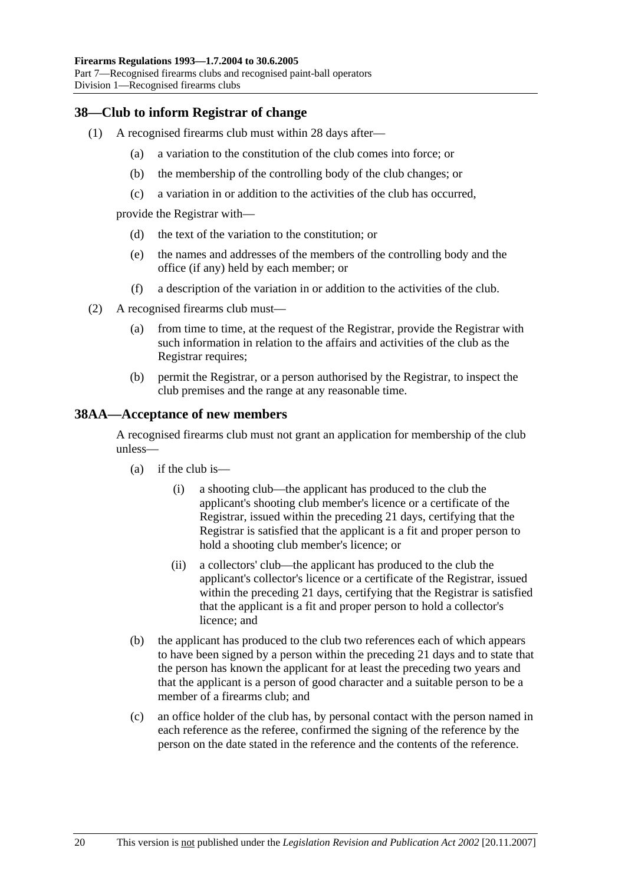### **38—Club to inform Registrar of change**

- (1) A recognised firearms club must within 28 days after—
	- (a) a variation to the constitution of the club comes into force; or
	- (b) the membership of the controlling body of the club changes; or
	- (c) a variation in or addition to the activities of the club has occurred,

provide the Registrar with—

- (d) the text of the variation to the constitution; or
- (e) the names and addresses of the members of the controlling body and the office (if any) held by each member; or
- (f) a description of the variation in or addition to the activities of the club.
- (2) A recognised firearms club must—
	- (a) from time to time, at the request of the Registrar, provide the Registrar with such information in relation to the affairs and activities of the club as the Registrar requires;
	- (b) permit the Registrar, or a person authorised by the Registrar, to inspect the club premises and the range at any reasonable time.

#### **38AA—Acceptance of new members**

A recognised firearms club must not grant an application for membership of the club unless—

- $(a)$  if the club is—
	- (i) a shooting club—the applicant has produced to the club the applicant's shooting club member's licence or a certificate of the Registrar, issued within the preceding 21 days, certifying that the Registrar is satisfied that the applicant is a fit and proper person to hold a shooting club member's licence; or
	- (ii) a collectors' club—the applicant has produced to the club the applicant's collector's licence or a certificate of the Registrar, issued within the preceding 21 days, certifying that the Registrar is satisfied that the applicant is a fit and proper person to hold a collector's licence; and
- (b) the applicant has produced to the club two references each of which appears to have been signed by a person within the preceding 21 days and to state that the person has known the applicant for at least the preceding two years and that the applicant is a person of good character and a suitable person to be a member of a firearms club; and
- (c) an office holder of the club has, by personal contact with the person named in each reference as the referee, confirmed the signing of the reference by the person on the date stated in the reference and the contents of the reference.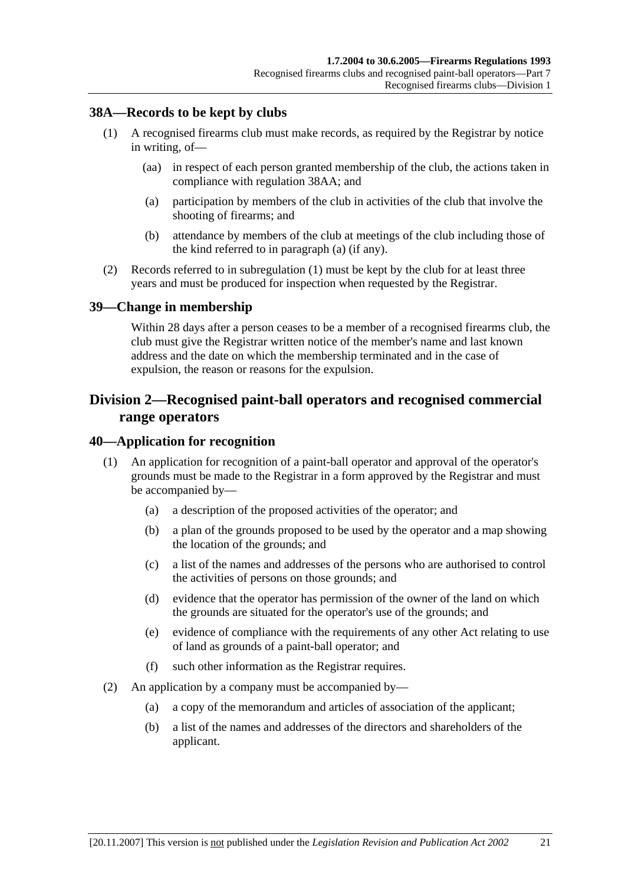### **38A—Records to be kept by clubs**

- (1) A recognised firearms club must make records, as required by the Registrar by notice in writing, of—
	- (aa) in respect of each person granted membership of the club, the actions taken in compliance with regulation 38AA; and
	- (a) participation by members of the club in activities of the club that involve the shooting of firearms; and
	- (b) attendance by members of the club at meetings of the club including those of the kind referred to in paragraph (a) (if any).
- (2) Records referred to in subregulation (1) must be kept by the club for at least three years and must be produced for inspection when requested by the Registrar.

#### **39—Change in membership**

Within 28 days after a person ceases to be a member of a recognised firearms club, the club must give the Registrar written notice of the member's name and last known address and the date on which the membership terminated and in the case of expulsion, the reason or reasons for the expulsion.

## **Division 2—Recognised paint-ball operators and recognised commercial range operators**

#### **40—Application for recognition**

- (1) An application for recognition of a paint-ball operator and approval of the operator's grounds must be made to the Registrar in a form approved by the Registrar and must be accompanied by—
	- (a) a description of the proposed activities of the operator; and
	- (b) a plan of the grounds proposed to be used by the operator and a map showing the location of the grounds; and
	- (c) a list of the names and addresses of the persons who are authorised to control the activities of persons on those grounds; and
	- (d) evidence that the operator has permission of the owner of the land on which the grounds are situated for the operator's use of the grounds; and
	- (e) evidence of compliance with the requirements of any other Act relating to use of land as grounds of a paint-ball operator; and
	- (f) such other information as the Registrar requires.
- (2) An application by a company must be accompanied by—
	- (a) a copy of the memorandum and articles of association of the applicant;
	- (b) a list of the names and addresses of the directors and shareholders of the applicant.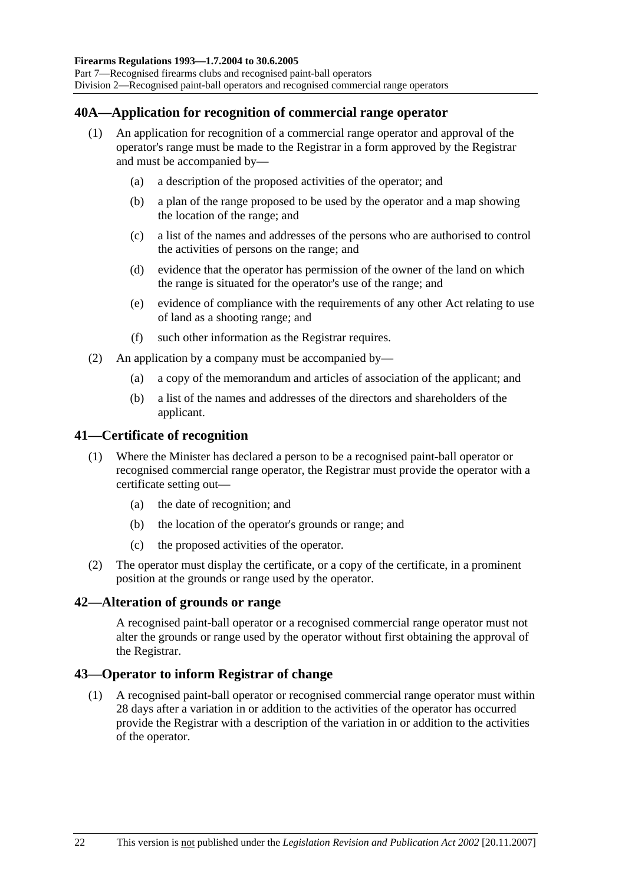### **40A—Application for recognition of commercial range operator**

- (1) An application for recognition of a commercial range operator and approval of the operator's range must be made to the Registrar in a form approved by the Registrar and must be accompanied by—
	- (a) a description of the proposed activities of the operator; and
	- (b) a plan of the range proposed to be used by the operator and a map showing the location of the range; and
	- (c) a list of the names and addresses of the persons who are authorised to control the activities of persons on the range; and
	- (d) evidence that the operator has permission of the owner of the land on which the range is situated for the operator's use of the range; and
	- (e) evidence of compliance with the requirements of any other Act relating to use of land as a shooting range; and
	- (f) such other information as the Registrar requires.
- (2) An application by a company must be accompanied by—
	- (a) a copy of the memorandum and articles of association of the applicant; and
	- (b) a list of the names and addresses of the directors and shareholders of the applicant.

#### **41—Certificate of recognition**

- (1) Where the Minister has declared a person to be a recognised paint-ball operator or recognised commercial range operator, the Registrar must provide the operator with a certificate setting out—
	- (a) the date of recognition; and
	- (b) the location of the operator's grounds or range; and
	- (c) the proposed activities of the operator.
- (2) The operator must display the certificate, or a copy of the certificate, in a prominent position at the grounds or range used by the operator.

#### **42—Alteration of grounds or range**

A recognised paint-ball operator or a recognised commercial range operator must not alter the grounds or range used by the operator without first obtaining the approval of the Registrar.

#### **43—Operator to inform Registrar of change**

 (1) A recognised paint-ball operator or recognised commercial range operator must within 28 days after a variation in or addition to the activities of the operator has occurred provide the Registrar with a description of the variation in or addition to the activities of the operator.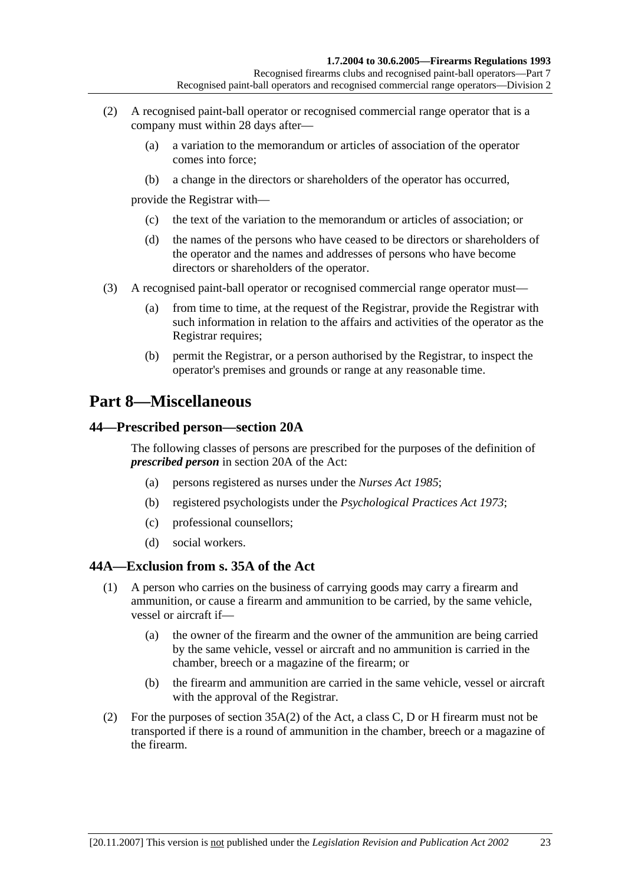- (2) A recognised paint-ball operator or recognised commercial range operator that is a company must within 28 days after—
	- (a) a variation to the memorandum or articles of association of the operator comes into force;
	- (b) a change in the directors or shareholders of the operator has occurred,

provide the Registrar with—

- (c) the text of the variation to the memorandum or articles of association; or
- (d) the names of the persons who have ceased to be directors or shareholders of the operator and the names and addresses of persons who have become directors or shareholders of the operator.
- (3) A recognised paint-ball operator or recognised commercial range operator must—
	- (a) from time to time, at the request of the Registrar, provide the Registrar with such information in relation to the affairs and activities of the operator as the Registrar requires;
	- (b) permit the Registrar, or a person authorised by the Registrar, to inspect the operator's premises and grounds or range at any reasonable time.

## **Part 8—Miscellaneous**

#### **44—Prescribed person—section 20A**

The following classes of persons are prescribed for the purposes of the definition of *prescribed person* in section 20A of the Act:

- (a) persons registered as nurses under the *Nurses Act 1985*;
- (b) registered psychologists under the *Psychological Practices Act 1973*;
- (c) professional counsellors;
- (d) social workers.

### **44A—Exclusion from s. 35A of the Act**

- (1) A person who carries on the business of carrying goods may carry a firearm and ammunition, or cause a firearm and ammunition to be carried, by the same vehicle, vessel or aircraft if—
	- (a) the owner of the firearm and the owner of the ammunition are being carried by the same vehicle, vessel or aircraft and no ammunition is carried in the chamber, breech or a magazine of the firearm; or
	- (b) the firearm and ammunition are carried in the same vehicle, vessel or aircraft with the approval of the Registrar.
- (2) For the purposes of section 35A(2) of the Act, a class C, D or H firearm must not be transported if there is a round of ammunition in the chamber, breech or a magazine of the firearm.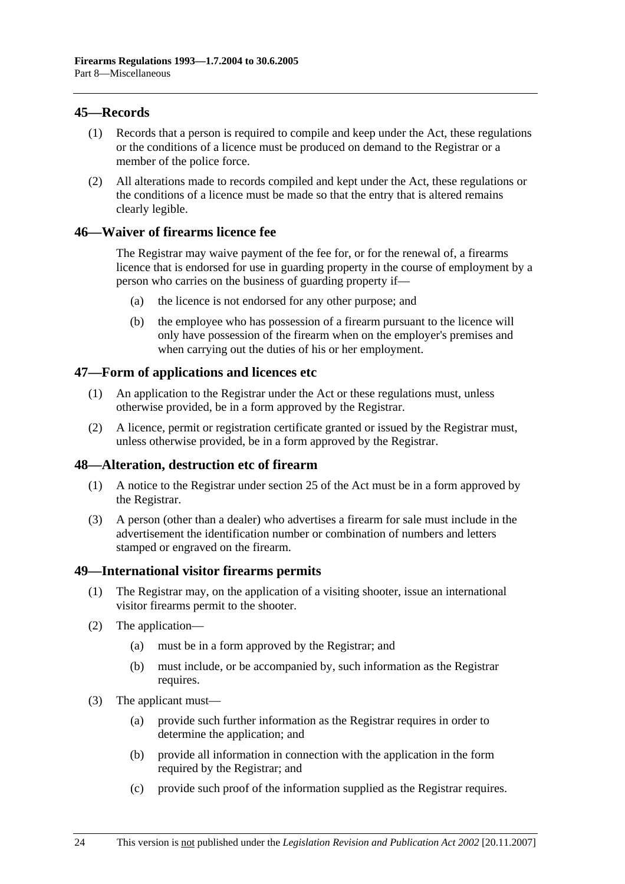### **45—Records**

- (1) Records that a person is required to compile and keep under the Act, these regulations or the conditions of a licence must be produced on demand to the Registrar or a member of the police force.
- (2) All alterations made to records compiled and kept under the Act, these regulations or the conditions of a licence must be made so that the entry that is altered remains clearly legible.

#### **46—Waiver of firearms licence fee**

The Registrar may waive payment of the fee for, or for the renewal of, a firearms licence that is endorsed for use in guarding property in the course of employment by a person who carries on the business of guarding property if—

- (a) the licence is not endorsed for any other purpose; and
- (b) the employee who has possession of a firearm pursuant to the licence will only have possession of the firearm when on the employer's premises and when carrying out the duties of his or her employment.

#### **47—Form of applications and licences etc**

- (1) An application to the Registrar under the Act or these regulations must, unless otherwise provided, be in a form approved by the Registrar.
- (2) A licence, permit or registration certificate granted or issued by the Registrar must, unless otherwise provided, be in a form approved by the Registrar.

#### **48—Alteration, destruction etc of firearm**

- (1) A notice to the Registrar under section 25 of the Act must be in a form approved by the Registrar.
- (3) A person (other than a dealer) who advertises a firearm for sale must include in the advertisement the identification number or combination of numbers and letters stamped or engraved on the firearm.

#### **49—International visitor firearms permits**

- (1) The Registrar may, on the application of a visiting shooter, issue an international visitor firearms permit to the shooter.
- (2) The application—
	- (a) must be in a form approved by the Registrar; and
	- (b) must include, or be accompanied by, such information as the Registrar requires.
- (3) The applicant must—
	- (a) provide such further information as the Registrar requires in order to determine the application; and
	- (b) provide all information in connection with the application in the form required by the Registrar; and
	- (c) provide such proof of the information supplied as the Registrar requires.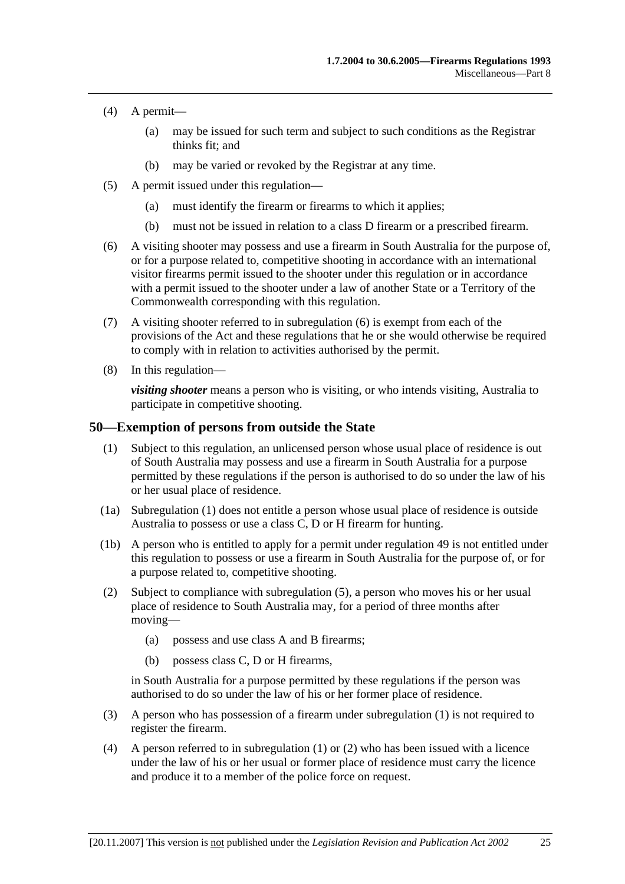- (4) A permit—
	- (a) may be issued for such term and subject to such conditions as the Registrar thinks fit; and
	- (b) may be varied or revoked by the Registrar at any time.
- (5) A permit issued under this regulation—
	- (a) must identify the firearm or firearms to which it applies;
	- (b) must not be issued in relation to a class D firearm or a prescribed firearm.
- (6) A visiting shooter may possess and use a firearm in South Australia for the purpose of, or for a purpose related to, competitive shooting in accordance with an international visitor firearms permit issued to the shooter under this regulation or in accordance with a permit issued to the shooter under a law of another State or a Territory of the Commonwealth corresponding with this regulation.
- (7) A visiting shooter referred to in subregulation (6) is exempt from each of the provisions of the Act and these regulations that he or she would otherwise be required to comply with in relation to activities authorised by the permit.
- (8) In this regulation—

*visiting shooter* means a person who is visiting, or who intends visiting, Australia to participate in competitive shooting.

#### **50—Exemption of persons from outside the State**

- (1) Subject to this regulation, an unlicensed person whose usual place of residence is out of South Australia may possess and use a firearm in South Australia for a purpose permitted by these regulations if the person is authorised to do so under the law of his or her usual place of residence.
- (1a) Subregulation (1) does not entitle a person whose usual place of residence is outside Australia to possess or use a class C, D or H firearm for hunting.
- (1b) A person who is entitled to apply for a permit under regulation 49 is not entitled under this regulation to possess or use a firearm in South Australia for the purpose of, or for a purpose related to, competitive shooting.
- (2) Subject to compliance with subregulation (5), a person who moves his or her usual place of residence to South Australia may, for a period of three months after moving—
	- (a) possess and use class A and B firearms;
	- (b) possess class C, D or H firearms,

in South Australia for a purpose permitted by these regulations if the person was authorised to do so under the law of his or her former place of residence.

- (3) A person who has possession of a firearm under subregulation (1) is not required to register the firearm.
- (4) A person referred to in subregulation (1) or (2) who has been issued with a licence under the law of his or her usual or former place of residence must carry the licence and produce it to a member of the police force on request.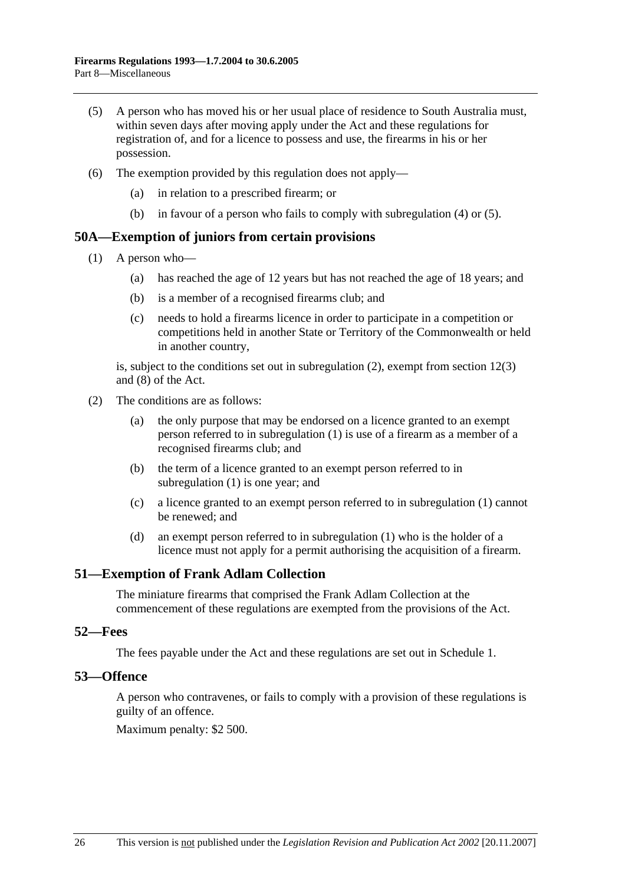- (5) A person who has moved his or her usual place of residence to South Australia must, within seven days after moving apply under the Act and these regulations for registration of, and for a licence to possess and use, the firearms in his or her possession.
- (6) The exemption provided by this regulation does not apply—
	- (a) in relation to a prescribed firearm; or
	- (b) in favour of a person who fails to comply with subregulation (4) or (5).

#### **50A—Exemption of juniors from certain provisions**

- (1) A person who—
	- (a) has reached the age of 12 years but has not reached the age of 18 years; and
	- (b) is a member of a recognised firearms club; and
	- (c) needs to hold a firearms licence in order to participate in a competition or competitions held in another State or Territory of the Commonwealth or held in another country,

is, subject to the conditions set out in subregulation (2), exempt from section 12(3) and (8) of the Act.

- (2) The conditions are as follows:
	- (a) the only purpose that may be endorsed on a licence granted to an exempt person referred to in subregulation (1) is use of a firearm as a member of a recognised firearms club; and
	- (b) the term of a licence granted to an exempt person referred to in subregulation (1) is one year; and
	- (c) a licence granted to an exempt person referred to in subregulation (1) cannot be renewed; and
	- (d) an exempt person referred to in subregulation (1) who is the holder of a licence must not apply for a permit authorising the acquisition of a firearm.

#### **51—Exemption of Frank Adlam Collection**

The miniature firearms that comprised the Frank Adlam Collection at the commencement of these regulations are exempted from the provisions of the Act.

#### **52—Fees**

The fees payable under the Act and these regulations are set out in Schedule 1.

#### **53—Offence**

A person who contravenes, or fails to comply with a provision of these regulations is guilty of an offence.

Maximum penalty: \$2 500.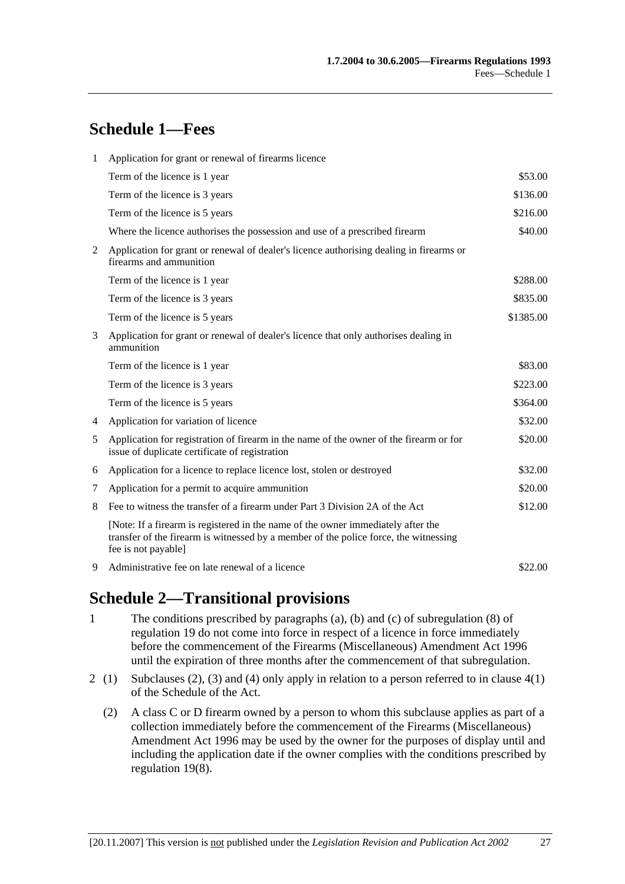# **Schedule 1—Fees**

| $\mathbf{1}$ | Application for grant or renewal of firearms licence                                                                                                                                            |           |  |  |
|--------------|-------------------------------------------------------------------------------------------------------------------------------------------------------------------------------------------------|-----------|--|--|
|              | Term of the licence is 1 year                                                                                                                                                                   | \$53.00   |  |  |
|              | Term of the licence is 3 years                                                                                                                                                                  | \$136.00  |  |  |
|              | Term of the licence is 5 years                                                                                                                                                                  | \$216.00  |  |  |
|              | Where the licence authorises the possession and use of a prescribed firearm                                                                                                                     | \$40.00   |  |  |
| 2            | Application for grant or renewal of dealer's licence authorising dealing in firearms or<br>firearms and ammunition                                                                              |           |  |  |
|              | Term of the licence is 1 year                                                                                                                                                                   | \$288.00  |  |  |
|              | Term of the licence is 3 years                                                                                                                                                                  | \$835.00  |  |  |
|              | Term of the licence is 5 years                                                                                                                                                                  | \$1385.00 |  |  |
| 3            | Application for grant or renewal of dealer's licence that only authorises dealing in<br>ammunition                                                                                              |           |  |  |
|              | Term of the licence is 1 year                                                                                                                                                                   | \$83.00   |  |  |
|              | Term of the licence is 3 years                                                                                                                                                                  | \$223.00  |  |  |
|              | Term of the licence is 5 years                                                                                                                                                                  | \$364.00  |  |  |
| 4            | Application for variation of licence                                                                                                                                                            | \$32.00   |  |  |
| 5            | Application for registration of firearm in the name of the owner of the firearm or for<br>issue of duplicate certificate of registration                                                        | \$20.00   |  |  |
| 6            | Application for a licence to replace licence lost, stolen or destroyed                                                                                                                          | \$32.00   |  |  |
| 7            | Application for a permit to acquire ammunition                                                                                                                                                  | \$20.00   |  |  |
| 8            | Fee to witness the transfer of a firearm under Part 3 Division 2A of the Act                                                                                                                    | \$12.00   |  |  |
|              | [Note: If a firearm is registered in the name of the owner immediately after the<br>transfer of the firearm is witnessed by a member of the police force, the witnessing<br>fee is not payable] |           |  |  |
| 9            | Administrative fee on late renewal of a licence                                                                                                                                                 | \$22.00   |  |  |

## **Schedule 2—Transitional provisions**

- 1 The conditions prescribed by paragraphs (a), (b) and (c) of subregulation (8) of regulation 19 do not come into force in respect of a licence in force immediately before the commencement of the Firearms (Miscellaneous) Amendment Act 1996 until the expiration of three months after the commencement of that subregulation.
- 2 (1) Subclauses (2), (3) and (4) only apply in relation to a person referred to in clause 4(1) of the Schedule of the Act.
	- (2) A class C or D firearm owned by a person to whom this subclause applies as part of a collection immediately before the commencement of the Firearms (Miscellaneous) Amendment Act 1996 may be used by the owner for the purposes of display until and including the application date if the owner complies with the conditions prescribed by regulation 19(8).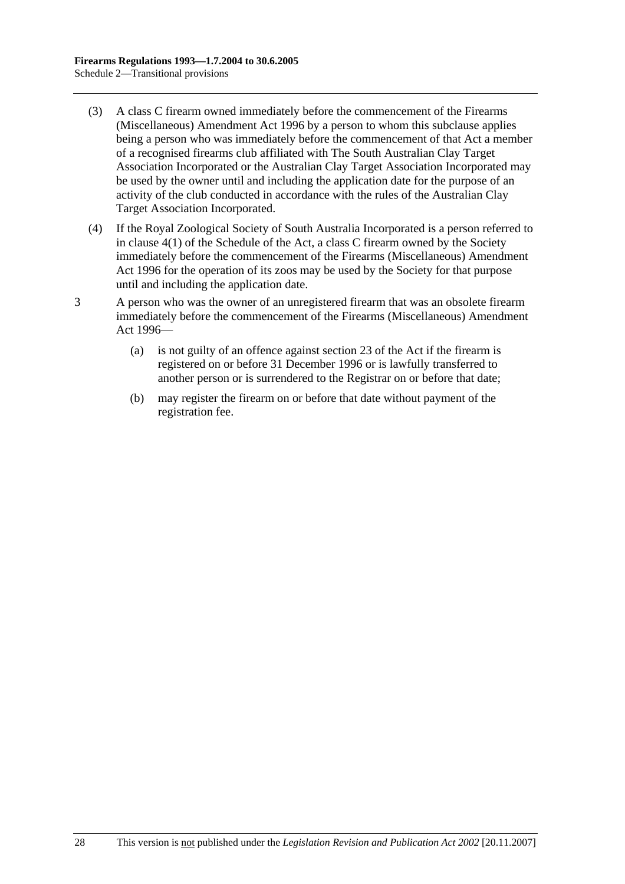- (3) A class C firearm owned immediately before the commencement of the Firearms (Miscellaneous) Amendment Act 1996 by a person to whom this subclause applies being a person who was immediately before the commencement of that Act a member of a recognised firearms club affiliated with The South Australian Clay Target Association Incorporated or the Australian Clay Target Association Incorporated may be used by the owner until and including the application date for the purpose of an activity of the club conducted in accordance with the rules of the Australian Clay Target Association Incorporated.
- (4) If the Royal Zoological Society of South Australia Incorporated is a person referred to in clause 4(1) of the Schedule of the Act, a class C firearm owned by the Society immediately before the commencement of the Firearms (Miscellaneous) Amendment Act 1996 for the operation of its zoos may be used by the Society for that purpose until and including the application date.
- 3 A person who was the owner of an unregistered firearm that was an obsolete firearm immediately before the commencement of the Firearms (Miscellaneous) Amendment Act 1996—
	- (a) is not guilty of an offence against section 23 of the Act if the firearm is registered on or before 31 December 1996 or is lawfully transferred to another person or is surrendered to the Registrar on or before that date;
	- (b) may register the firearm on or before that date without payment of the registration fee.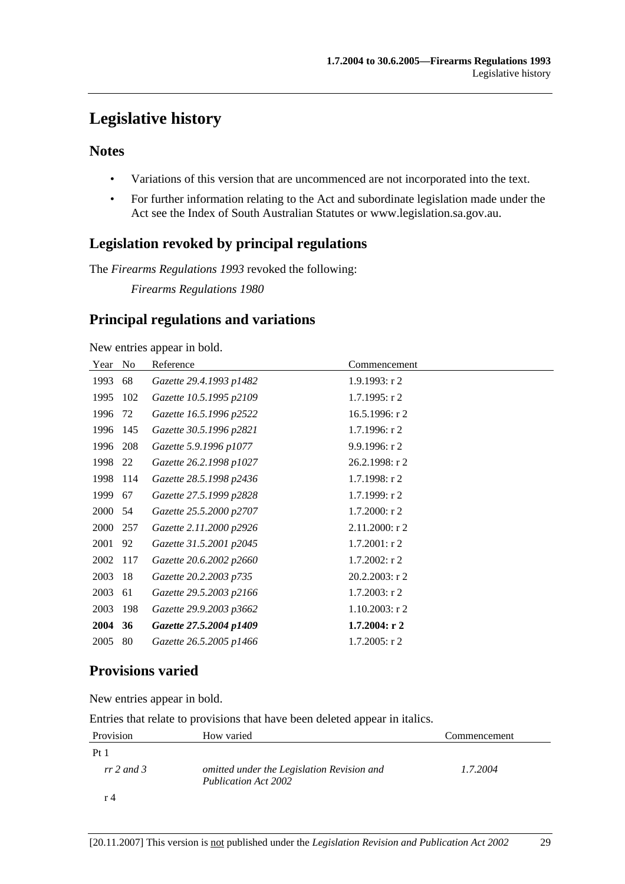# **Legislative history**

## **Notes**

- Variations of this version that are uncommenced are not incorporated into the text.
- For further information relating to the Act and subordinate legislation made under the Act see the Index of South Australian Statutes or www.legislation.sa.gov.au.

## **Legislation revoked by principal regulations**

The *Firearms Regulations 1993* revoked the following:

*Firearms Regulations 1980*

## **Principal regulations and variations**

New entries appear in bold.

| Year | N <sub>0</sub> | Reference               | Commencement      |
|------|----------------|-------------------------|-------------------|
| 1993 | 68             | Gazette 29.4.1993 p1482 | 1.9.1993: r2      |
| 1995 | 102            | Gazette 10.5.1995 p2109 | $1.7.1995:$ r 2   |
| 1996 | 72             | Gazette 16.5.1996 p2522 | 16.5.1996: r2     |
| 1996 | 145            | Gazette 30.5.1996 p2821 | $1.7.1996:$ r 2   |
| 1996 | 208            | Gazette 5.9.1996 p1077  | 9.9.1996: r2      |
| 1998 | 22             | Gazette 26.2.1998 p1027 | 26.2.1998: r 2    |
| 1998 | 114            | Gazette 28.5.1998 p2436 | 1.7.1998: r2      |
| 1999 | 67             | Gazette 27.5.1999 p2828 | 1.7.1999: r2      |
| 2000 | 54             | Gazette 25.5.2000 p2707 | $1.7.2000:$ r 2   |
| 2000 | 257            | Gazette 2.11.2000 p2926 | 2.11.2000: r 2    |
| 2001 | 92             | Gazette 31.5.2001 p2045 | $1.7.2001:$ r2    |
| 2002 | 117            | Gazette 20.6.2002 p2660 | $1.7.2002$ : r 2  |
| 2003 | 18             | Gazette 20.2.2003 p735  | $20.2.2003$ : r 2 |
| 2003 | 61             | Gazette 29.5.2003 p2166 | $1.7.2003$ : r 2  |
| 2003 | 198            | Gazette 29.9.2003 p3662 | $1.10.2003$ : r 2 |
| 2004 | 36             | Gazette 27.5.2004 p1409 | $1.7.2004:$ r 2   |
| 2005 | 80             | Gazette 26.5.2005 p1466 | $1.7.2005:$ r 2   |

## **Provisions varied**

New entries appear in bold.

Entries that relate to provisions that have been deleted appear in italics.

| Provision       | How varied                                                         | Commencement |
|-----------------|--------------------------------------------------------------------|--------------|
| Pt <sub>1</sub> |                                                                    |              |
| $rr 2$ and 3    | omitted under the Legislation Revision and<br>Publication Act 2002 | 1.7.2004     |
| r 4             |                                                                    |              |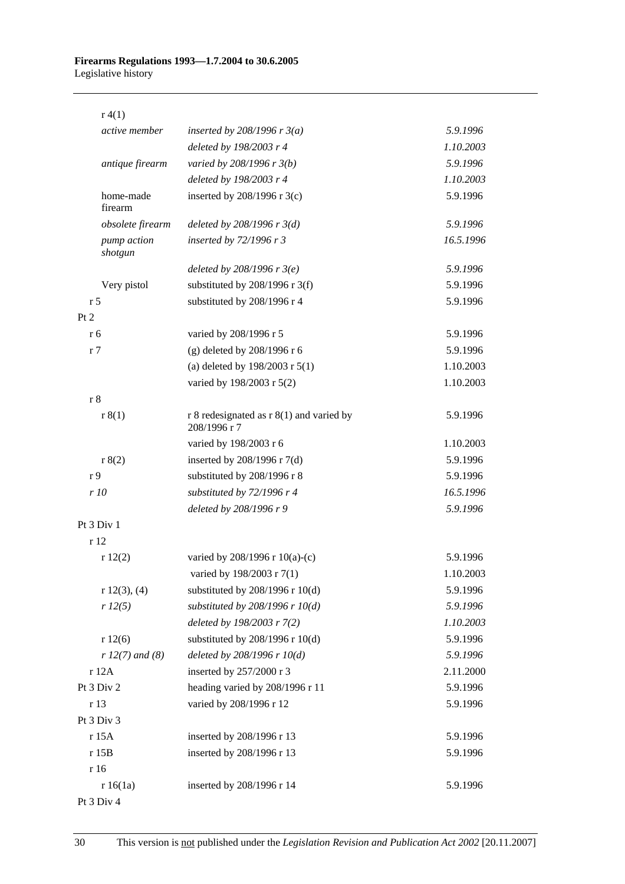#### **Firearms Regulations 1993—1.7.2004 to 30.6.2005**  Legislative history

| r(4(1))                |                                                              |           |
|------------------------|--------------------------------------------------------------|-----------|
| active member          | inserted by 208/1996 r $3(a)$                                | 5.9.1996  |
|                        | deleted by 198/2003 r 4                                      | 1.10.2003 |
| antique firearm        | varied by 208/1996 r 3(b)                                    | 5.9.1996  |
|                        | deleted by 198/2003 r 4                                      | 1.10.2003 |
| home-made<br>firearm   | inserted by $208/1996$ r 3(c)                                | 5.9.1996  |
| obsolete firearm       | deleted by $208/1996$ r $3(d)$                               | 5.9.1996  |
| pump action<br>shotgun | inserted by 72/1996 r 3                                      | 16.5.1996 |
|                        | deleted by $208/1996$ r $3(e)$                               | 5.9.1996  |
| Very pistol            | substituted by $208/1996$ r 3(f)                             | 5.9.1996  |
| r <sub>5</sub>         | substituted by 208/1996 r 4                                  | 5.9.1996  |
| Pt 2                   |                                                              |           |
| r 6                    | varied by 208/1996 r 5                                       | 5.9.1996  |
| r <sub>7</sub>         | (g) deleted by $208/1996$ r 6                                | 5.9.1996  |
|                        | (a) deleted by $198/2003$ r $5(1)$                           | 1.10.2003 |
|                        | varied by 198/2003 r 5(2)                                    | 1.10.2003 |
| r <sub>8</sub>         |                                                              |           |
| r 8(1)                 | $r 8$ redesignated as $r 8(1)$ and varied by<br>208/1996 r 7 | 5.9.1996  |
|                        | varied by 198/2003 r 6                                       | 1.10.2003 |
| r 8(2)                 | inserted by 208/1996 r 7(d)                                  | 5.9.1996  |
| r <sub>9</sub>         | substituted by 208/1996 r 8                                  | 5.9.1996  |
| r 10                   | substituted by 72/1996 r 4                                   | 16.5.1996 |
|                        | deleted by 208/1996 r 9                                      | 5.9.1996  |
| Pt 3 Div 1             |                                                              |           |
| r12                    |                                                              |           |
| r12(2)                 | varied by 208/1996 r 10(a)-(c)                               | 5.9.1996  |
|                        | varied by 198/2003 r 7(1)                                    | 1.10.2003 |
| r 12(3), (4)           | substituted by $208/1996$ r $10(d)$                          | 5.9.1996  |
| r 12(5)                | substituted by $208/1996$ r $10(d)$                          | 5.9.1996  |
|                        | deleted by 198/2003 r 7(2)                                   | 1.10.2003 |
| r12(6)                 | substituted by $208/1996$ r $10(d)$                          | 5.9.1996  |
| $r 12(7)$ and (8)      | deleted by $208/1996$ r $10(d)$                              | 5.9.1996  |
| r 12A                  | inserted by 257/2000 r 3                                     | 2.11.2000 |
| Pt 3 Div 2             | heading varied by 208/1996 r 11                              | 5.9.1996  |
| r 13                   | varied by 208/1996 r 12                                      | 5.9.1996  |
| Pt 3 Div 3             |                                                              |           |
| r 15A                  | inserted by 208/1996 r 13                                    | 5.9.1996  |
| r 15B                  | inserted by 208/1996 r 13                                    | 5.9.1996  |
| r 16                   |                                                              |           |
| r 16(1a)               | inserted by 208/1996 r 14                                    | 5.9.1996  |

#### Pt 3 Div 4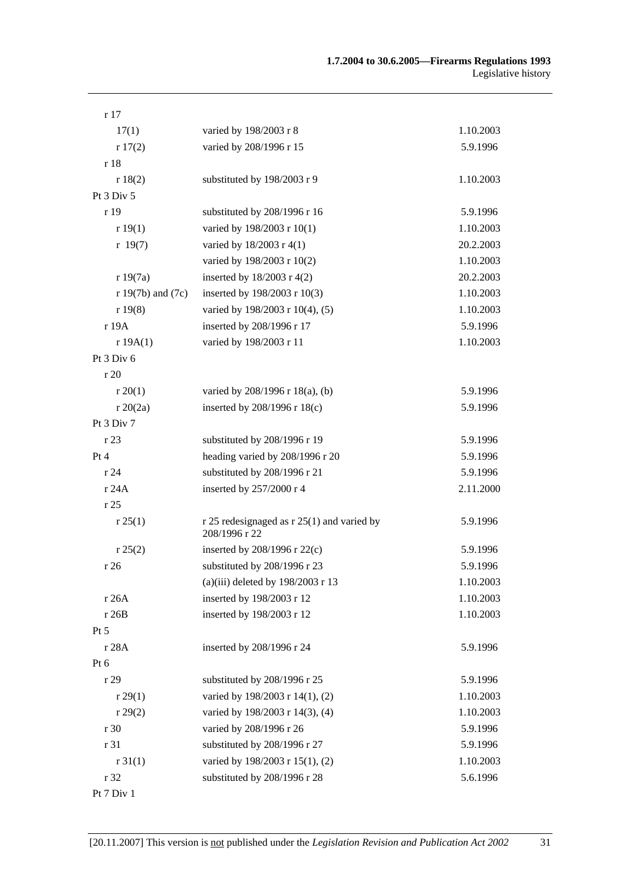| r17                   |                                                             |           |
|-----------------------|-------------------------------------------------------------|-----------|
| 17(1)                 | varied by 198/2003 r 8                                      | 1.10.2003 |
| r17(2)                | varied by 208/1996 r 15                                     | 5.9.1996  |
| r 18                  |                                                             |           |
| r 18(2)               | substituted by 198/2003 r 9                                 | 1.10.2003 |
| Pt 3 Div 5            |                                                             |           |
| r 19                  | substituted by 208/1996 r 16                                | 5.9.1996  |
| r 19(1)               | varied by 198/2003 r 10(1)                                  | 1.10.2003 |
| r 19(7)               | varied by 18/2003 r 4(1)                                    | 20.2.2003 |
|                       | varied by 198/2003 r 10(2)                                  | 1.10.2003 |
| r 19(7a)              | inserted by $18/2003$ r 4(2)                                | 20.2.2003 |
| $r 19(7b)$ and $(7c)$ | inserted by 198/2003 r 10(3)                                | 1.10.2003 |
| r19(8)                | varied by 198/2003 r 10(4), (5)                             | 1.10.2003 |
| r 19A                 | inserted by 208/1996 r 17                                   | 5.9.1996  |
| r 19A(1)              | varied by 198/2003 r 11                                     | 1.10.2003 |
| Pt 3 Div 6            |                                                             |           |
| r20                   |                                                             |           |
| r 20(1)               | varied by 208/1996 r 18(a), (b)                             | 5.9.1996  |
| r 20(2a)              | inserted by 208/1996 r 18(c)                                | 5.9.1996  |
| Pt 3 Div 7            |                                                             |           |
| r 23                  | substituted by 208/1996 r 19                                | 5.9.1996  |
| Pt 4                  | heading varied by 208/1996 r 20                             | 5.9.1996  |
| r 24                  | substituted by 208/1996 r 21                                | 5.9.1996  |
| r 24A                 | inserted by 257/2000 r 4                                    | 2.11.2000 |
| r 25                  |                                                             |           |
| r 25(1)               | r 25 redesignaged as r 25(1) and varied by<br>208/1996 r 22 | 5.9.1996  |
| r 25(2)               | inserted by $208/1996$ r $22(c)$                            | 5.9.1996  |
| r26                   | substituted by 208/1996 r 23                                | 5.9.1996  |
|                       | (a)(iii) deleted by $198/2003$ r 13                         | 1.10.2003 |
| r 26A                 | inserted by 198/2003 r 12                                   | 1.10.2003 |
| r 26B                 | inserted by 198/2003 r 12                                   | 1.10.2003 |
| Pt 5                  |                                                             |           |
| r 28A                 | inserted by 208/1996 r 24                                   | 5.9.1996  |
| Pt 6                  |                                                             |           |
| r 29                  | substituted by 208/1996 r 25                                | 5.9.1996  |
| r 29(1)               | varied by 198/2003 r 14(1), (2)                             | 1.10.2003 |
| r 29(2)               | varied by 198/2003 r 14(3), (4)                             | 1.10.2003 |
| r 30                  | varied by 208/1996 r 26                                     | 5.9.1996  |
| r 31                  | substituted by 208/1996 r 27                                | 5.9.1996  |
| r31(1)                | varied by 198/2003 r 15(1), (2)                             | 1.10.2003 |
| r 32                  | substituted by 208/1996 r 28                                | 5.6.1996  |
| Pt 7 Div 1            |                                                             |           |